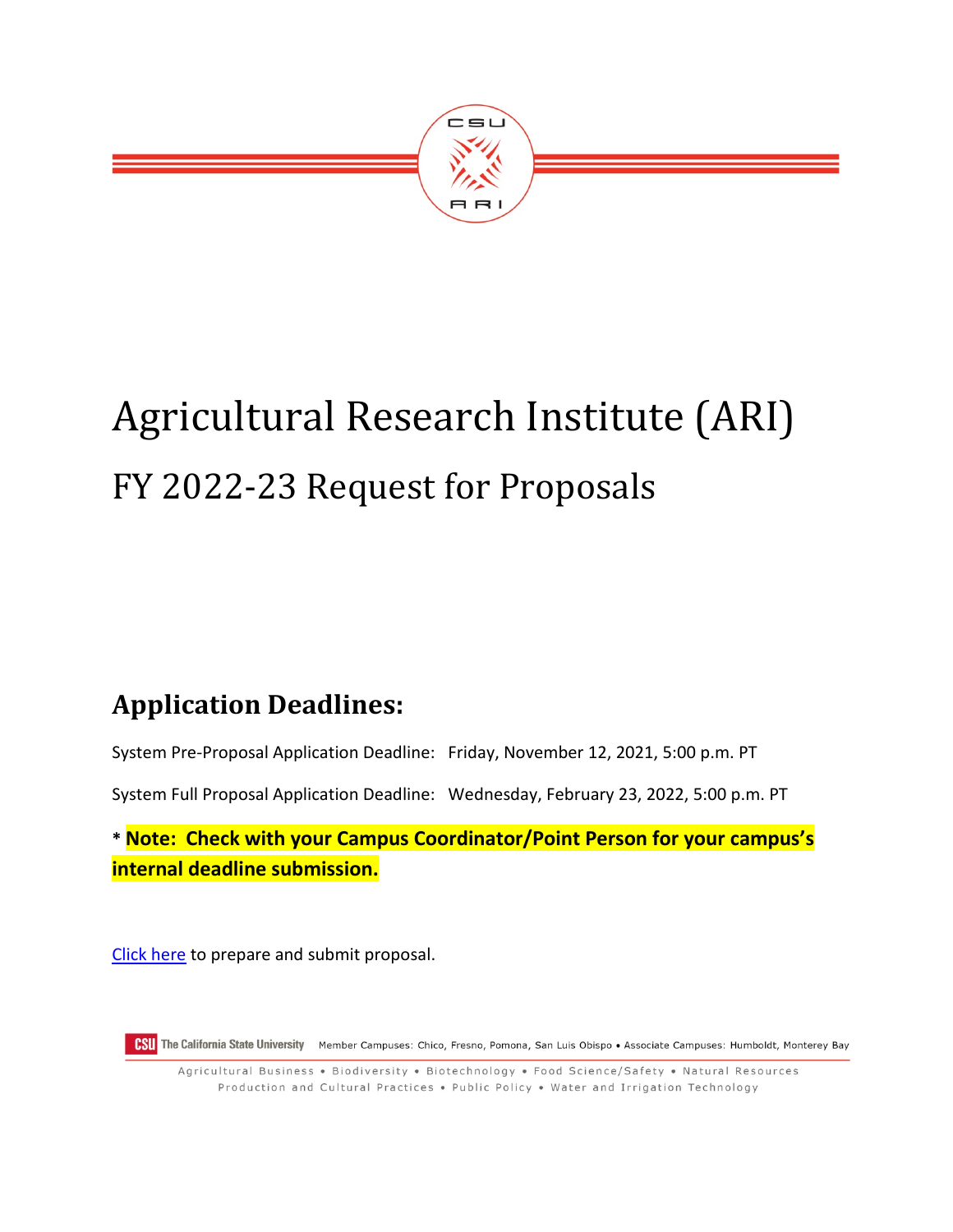

# Agricultural Research Institute (ARI) FY 2022-23 Request for Proposals

# **Application Deadlines:**

System Pre-Proposal Application Deadline: Friday, November 12, 2021, 5:00 p.m. PT

System Full Proposal Application Deadline: Wednesday, February 23, 2022, 5:00 p.m. PT

**\* Note: Check with your Campus Coordinator/Point Person for your campus's internal deadline submission.**

[Click here](https://csuari.infoready4.com/) to prepare and submit proposal.

CSU The California State University Member Campuses: Chico, Fresno, Pomona, San Luis Obispo • Associate Campuses: Humboldt, Monterey Bay

Agricultural Business • Biodiversity • Biotechnology • Food Science/Safety • Natural Resources Production and Cultural Practices . Public Policy . Water and Irrigation Technology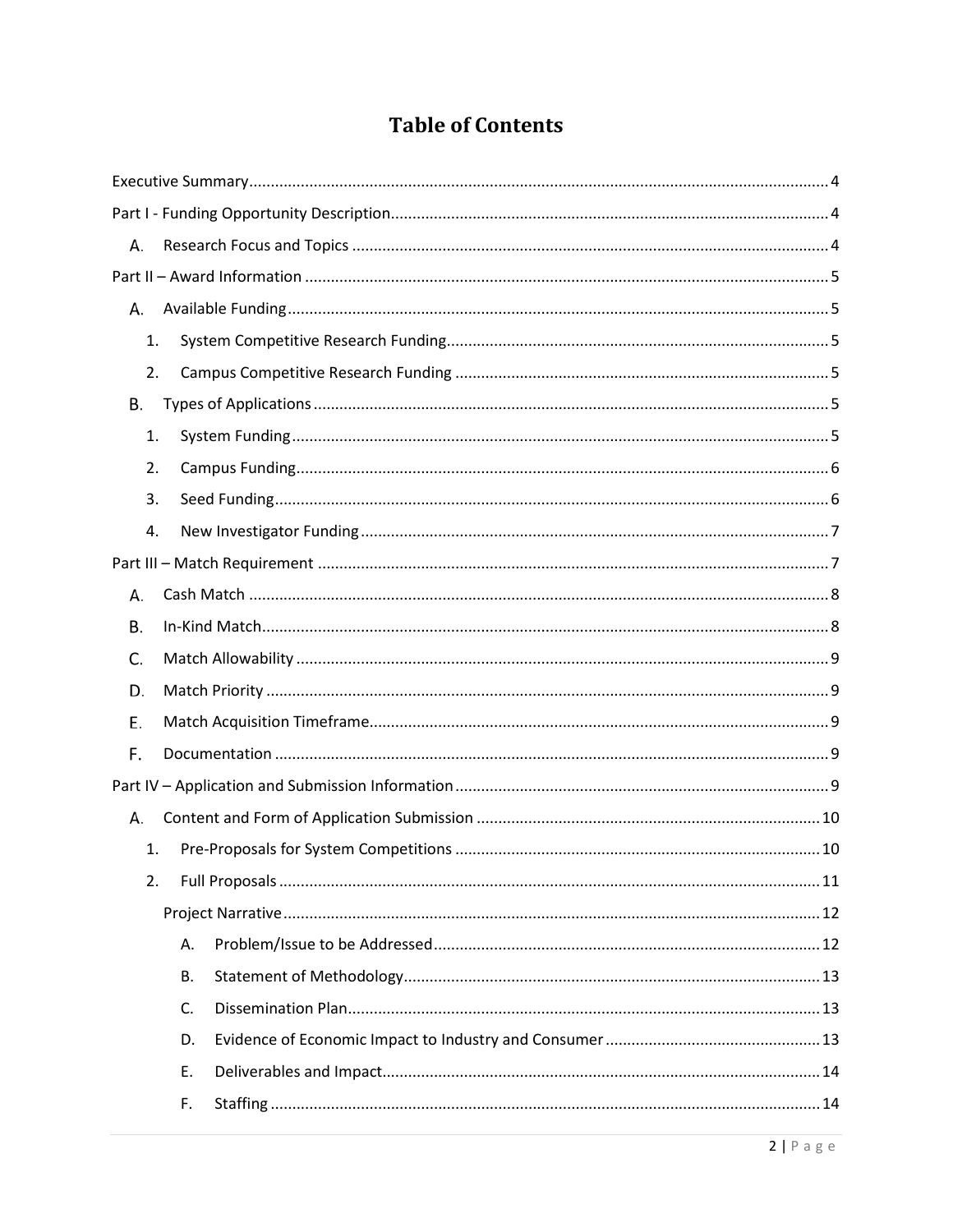## **Table of Contents**

| А. |
|----|
|    |
| А. |
| 1. |
| 2. |
| В. |
| 1. |
| 2. |
| 3. |
| 4. |
|    |
| А. |
| В. |
| C. |
| D. |
| Е. |
| F. |
|    |
| А. |
| 1. |
| 2. |
|    |
| Α. |
| В. |
| C. |
| D. |
| Ε. |
| F. |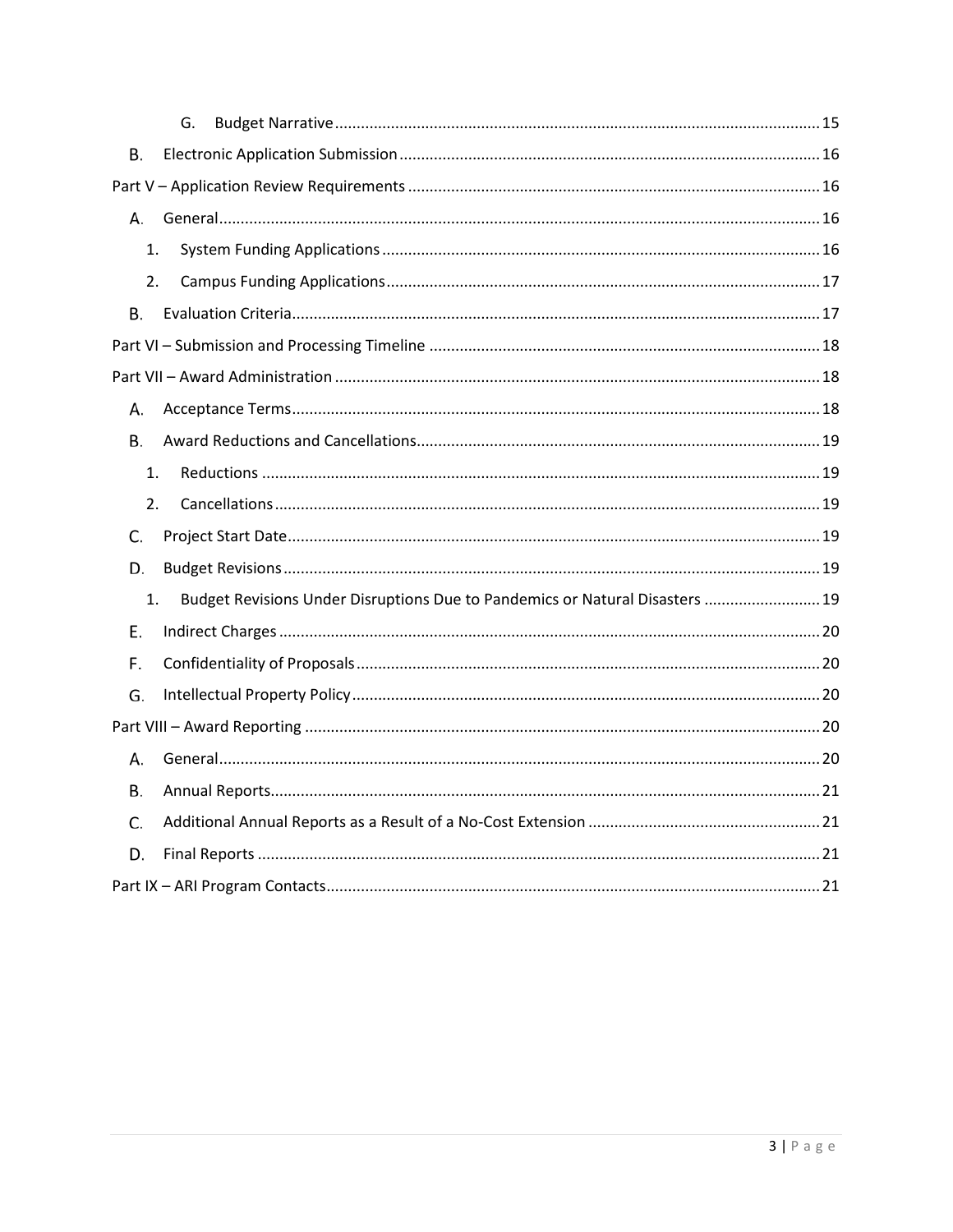| G.                                                                                 |
|------------------------------------------------------------------------------------|
| В.                                                                                 |
|                                                                                    |
| А.                                                                                 |
| 1.                                                                                 |
| 2.                                                                                 |
| В.                                                                                 |
|                                                                                    |
|                                                                                    |
| А.                                                                                 |
| В.                                                                                 |
| 1.                                                                                 |
| 2.                                                                                 |
| C.                                                                                 |
| D.                                                                                 |
| Budget Revisions Under Disruptions Due to Pandemics or Natural Disasters  19<br>1. |
| Е.                                                                                 |
| F.                                                                                 |
| G.                                                                                 |
|                                                                                    |
| А.                                                                                 |
| В.                                                                                 |
| C.                                                                                 |
| D.                                                                                 |
|                                                                                    |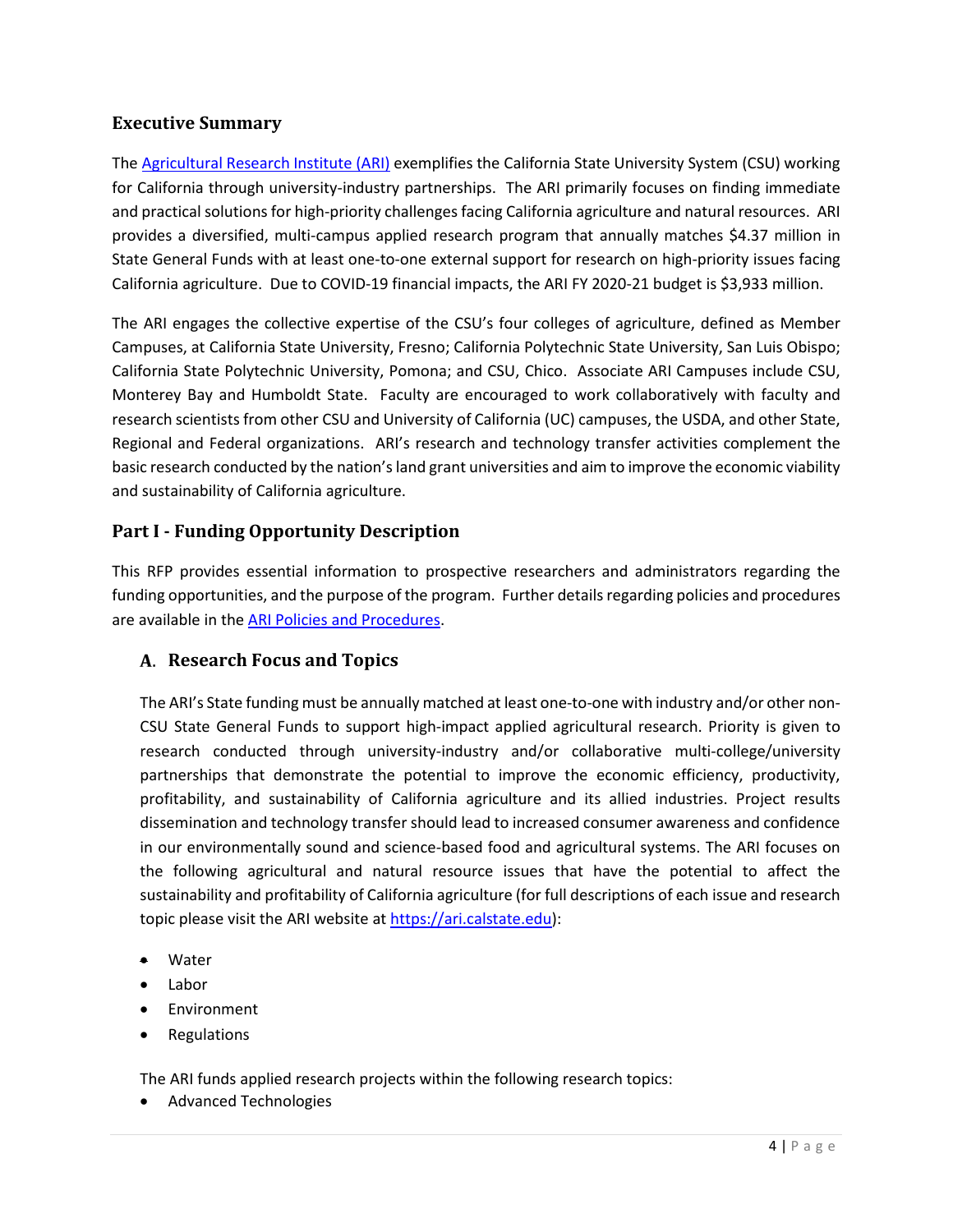## <span id="page-3-0"></span>**Executive Summary**

The [Agricultural Research Institute \(ARI\)](https://ari.calstate.edu/) exemplifies the California State University System (CSU) working for California through university-industry partnerships. The ARI primarily focuses on finding immediate and practical solutions for high-priority challenges facing California agriculture and natural resources. ARI provides a diversified, multi-campus applied research program that annually matches \$4.37 million in State General Funds with at least one-to-one external support for research on high-priority issues facing California agriculture. Due to COVID-19 financial impacts, the ARI FY 2020-21 budget is \$3,933 million.

The ARI engages the collective expertise of the CSU's four colleges of agriculture, defined as Member Campuses, at California State University, Fresno; California Polytechnic State University, San Luis Obispo; California State Polytechnic University, Pomona; and CSU, Chico. Associate ARI Campuses include CSU, Monterey Bay and Humboldt State. Faculty are encouraged to work collaboratively with faculty and research scientists from other CSU and University of California (UC) campuses, the USDA, and other State, Regional and Federal organizations. ARI's research and technology transfer activities complement the basic research conducted by the nation's land grant universities and aim to improve the economic viability and sustainability of California agriculture.

## <span id="page-3-1"></span>**Part I - Funding Opportunity Description**

This RFP provides essential information to prospective researchers and administrators regarding the funding opportunities, and the purpose of the program. Further details regarding policies and procedures are available in the [ARI Policies and Procedures.](https://ari.calstate.edu/docs/CFP-17-18/ARI%20PPM.pdf)

## <span id="page-3-2"></span>**Research Focus and Topics**

The ARI's State funding must be annually matched at least one-to-one with industry and/or other non-CSU State General Funds to support high-impact applied agricultural research. Priority is given to research conducted through university-industry and/or collaborative multi-college/university partnerships that demonstrate the potential to improve the economic efficiency, productivity, profitability, and sustainability of California agriculture and its allied industries. Project results dissemination and technology transfer should lead to increased consumer awareness and confidence in our environmentally sound and science-based food and agricultural systems. The ARI focuses on the following agricultural and natural resource issues that have the potential to affect the sustainability and profitability of California agriculture (for full descriptions of each issue and research topic please visit the ARI website at [https://ari.calstate.edu\)](https://ari.calstate.edu/):

- Water
- Labor
- Environment
- Regulations

The ARI funds applied research projects within the following research topics:

• Advanced Technologies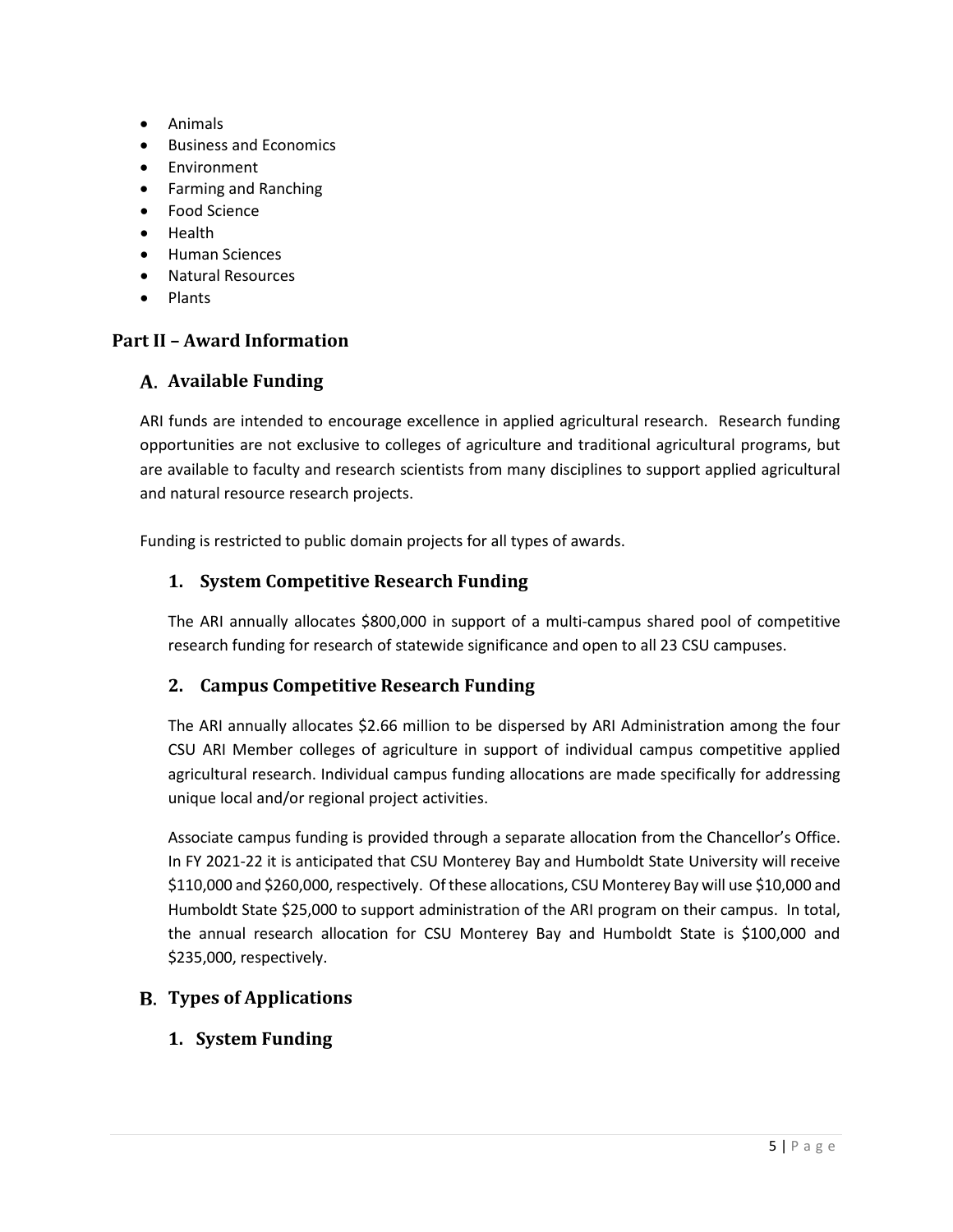- Animals
- Business and Economics
- Environment
- Farming and Ranching
- Food Science
- Health
- Human Sciences
- Natural Resources
- Plants

## <span id="page-4-0"></span>**Part II – Award Information**

## <span id="page-4-1"></span>**A.** Available Funding

ARI funds are intended to encourage excellence in applied agricultural research. Research funding opportunities are not exclusive to colleges of agriculture and traditional agricultural programs, but are available to faculty and research scientists from many disciplines to support applied agricultural and natural resource research projects.

Funding is restricted to public domain projects for all types of awards.

## <span id="page-4-2"></span>**1. System Competitive Research Funding**

The ARI annually allocates \$800,000 in support of a multi-campus shared pool of competitive research funding for research of statewide significance and open to all 23 CSU campuses.

## <span id="page-4-3"></span>**2. Campus Competitive Research Funding**

The ARI annually allocates \$2.66 million to be dispersed by ARI Administration among the four CSU ARI Member colleges of agriculture in support of individual campus competitive applied agricultural research. Individual campus funding allocations are made specifically for addressing unique local and/or regional project activities.

Associate campus funding is provided through a separate allocation from the Chancellor's Office. In FY 2021-22 it is anticipated that CSU Monterey Bay and Humboldt State University will receive \$110,000 and \$260,000, respectively. Of these allocations, CSU Monterey Bay will use \$10,000 and Humboldt State \$25,000 to support administration of the ARI program on their campus. In total, the annual research allocation for CSU Monterey Bay and Humboldt State is \$100,000 and \$235,000, respectively.

## <span id="page-4-5"></span><span id="page-4-4"></span>**Types of Applications**

**1. System Funding**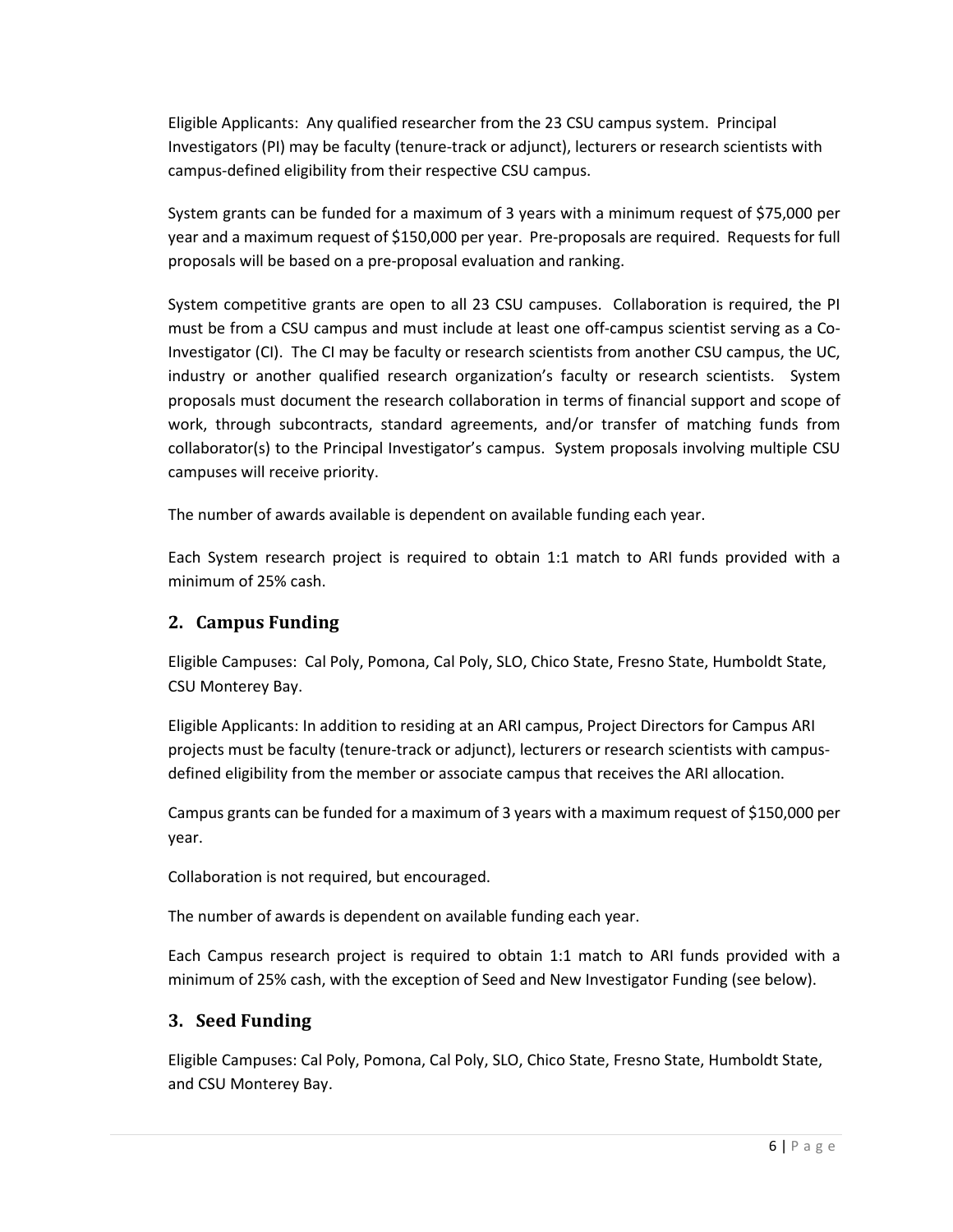Eligible Applicants: Any qualified researcher from the 23 CSU campus system. Principal Investigators (PI) may be faculty (tenure-track or adjunct), lecturers or research scientists with campus-defined eligibility from their respective CSU campus.

System grants can be funded for a maximum of 3 years with a minimum request of \$75,000 per year and a maximum request of \$150,000 per year. Pre-proposals are required. Requests for full proposals will be based on a pre-proposal evaluation and ranking.

System competitive grants are open to all 23 CSU campuses. Collaboration is required, the PI must be from a CSU campus and must include at least one off-campus scientist serving as a Co-Investigator (CI). The CI may be faculty or research scientists from another CSU campus, the UC, industry or another qualified research organization's faculty or research scientists. System proposals must document the research collaboration in terms of financial support and scope of work, through subcontracts, standard agreements, and/or transfer of matching funds from collaborator(s) to the Principal Investigator's campus. System proposals involving multiple CSU campuses will receive priority.

The number of awards available is dependent on available funding each year.

Each System research project is required to obtain 1:1 match to ARI funds provided with a minimum of 25% cash.

## <span id="page-5-0"></span>**2. Campus Funding**

Eligible Campuses: Cal Poly, Pomona, Cal Poly, SLO, Chico State, Fresno State, Humboldt State, CSU Monterey Bay.

Eligible Applicants: In addition to residing at an ARI campus, Project Directors for Campus ARI projects must be faculty (tenure-track or adjunct), lecturers or research scientists with campusdefined eligibility from the member or associate campus that receives the ARI allocation.

Campus grants can be funded for a maximum of 3 years with a maximum request of \$150,000 per year.

Collaboration is not required, but encouraged.

The number of awards is dependent on available funding each year.

Each Campus research project is required to obtain 1:1 match to ARI funds provided with a minimum of 25% cash, with the exception of Seed and New Investigator Funding (see below).

#### <span id="page-5-1"></span>**3. Seed Funding**

Eligible Campuses: Cal Poly, Pomona, Cal Poly, SLO, Chico State, Fresno State, Humboldt State, and CSU Monterey Bay.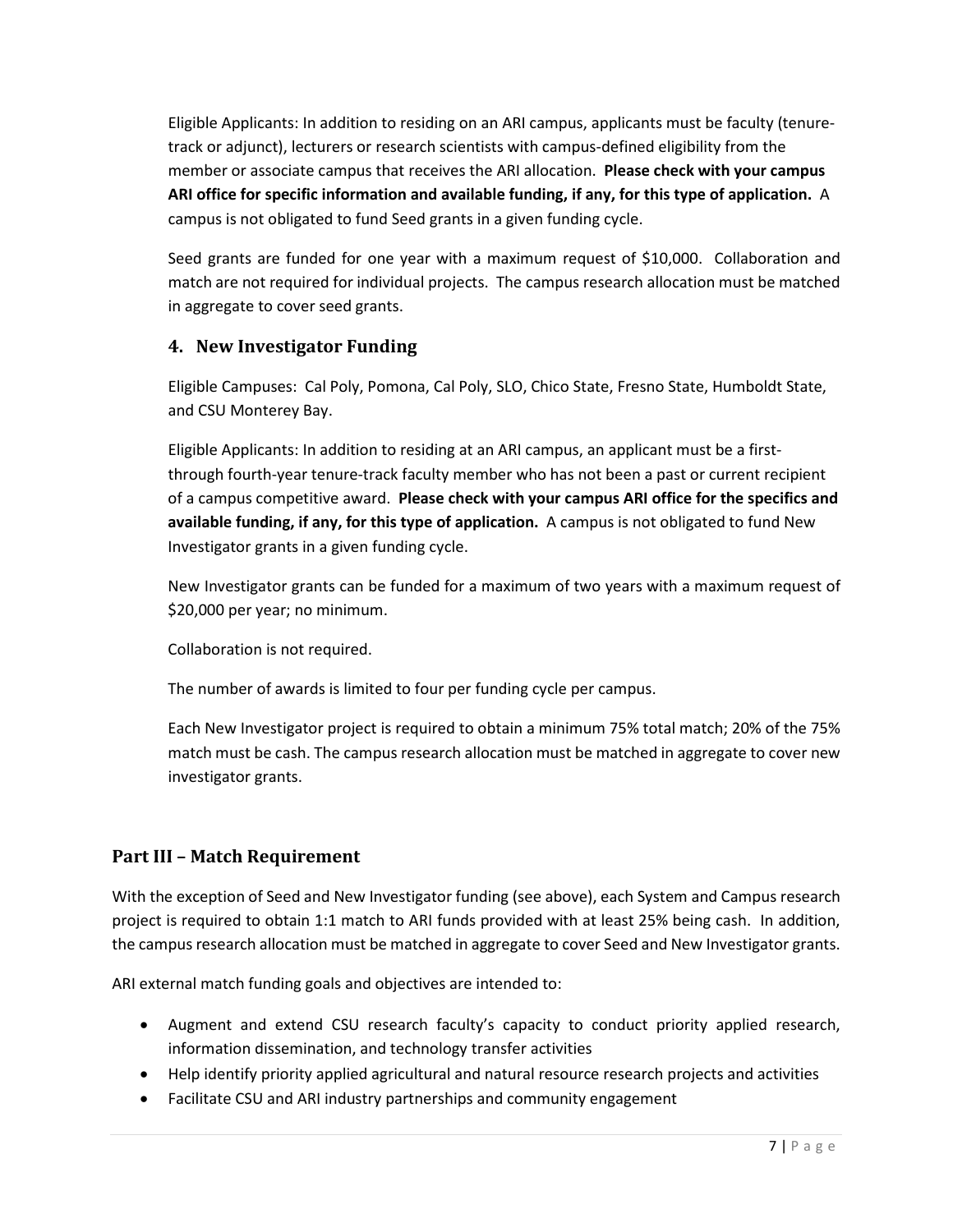Eligible Applicants: In addition to residing on an ARI campus, applicants must be faculty (tenuretrack or adjunct), lecturers or research scientists with campus-defined eligibility from the member or associate campus that receives the ARI allocation. **Please check with your campus ARI office for specific information and available funding, if any, for this type of application.** A campus is not obligated to fund Seed grants in a given funding cycle.

Seed grants are funded for one year with a maximum request of \$10,000. Collaboration and match are not required for individual projects. The campus research allocation must be matched in aggregate to cover seed grants.

## <span id="page-6-0"></span>**4. New Investigator Funding**

Eligible Campuses: Cal Poly, Pomona, Cal Poly, SLO, Chico State, Fresno State, Humboldt State, and CSU Monterey Bay.

Eligible Applicants: In addition to residing at an ARI campus, an applicant must be a firstthrough fourth-year tenure-track faculty member who has not been a past or current recipient of a campus competitive award. **Please check with your campus ARI office for the specifics and available funding, if any, for this type of application.** A campus is not obligated to fund New Investigator grants in a given funding cycle.

New Investigator grants can be funded for a maximum of two years with a maximum request of \$20,000 per year; no minimum.

Collaboration is not required.

The number of awards is limited to four per funding cycle per campus.

Each New Investigator project is required to obtain a minimum 75% total match; 20% of the 75% match must be cash. The campus research allocation must be matched in aggregate to cover new investigator grants.

## <span id="page-6-1"></span>**Part III – Match Requirement**

With the exception of Seed and New Investigator funding (see above), each System and Campus research project is required to obtain 1:1 match to ARI funds provided with at least 25% being cash. In addition, the campus research allocation must be matched in aggregate to cover Seed and New Investigator grants.

ARI external match funding goals and objectives are intended to:

- Augment and extend CSU research faculty's capacity to conduct priority applied research, information dissemination, and technology transfer activities
- Help identify priority applied agricultural and natural resource research projects and activities
- Facilitate CSU and ARI industry partnerships and community engagement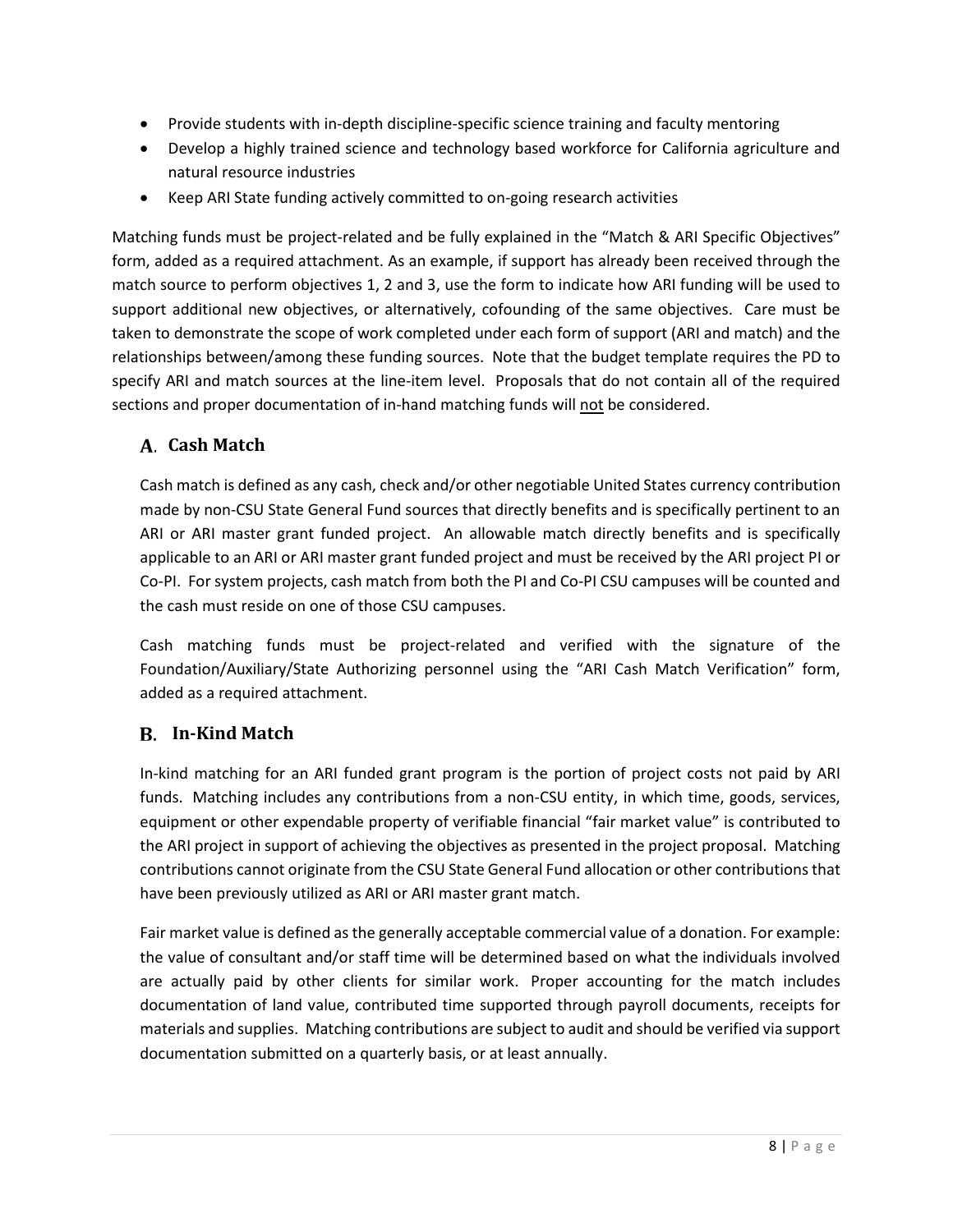- Provide students with in-depth discipline-specific science training and faculty mentoring
- Develop a highly trained science and technology based workforce for California agriculture and natural resource industries
- Keep ARI State funding actively committed to on-going research activities

Matching funds must be project-related and be fully explained in the "Match & ARI Specific Objectives" form, added as a required attachment. As an example, if support has already been received through the match source to perform objectives 1, 2 and 3, use the form to indicate how ARI funding will be used to support additional new objectives, or alternatively, cofounding of the same objectives. Care must be taken to demonstrate the scope of work completed under each form of support (ARI and match) and the relationships between/among these funding sources. Note that the budget template requires the PD to specify ARI and match sources at the line-item level. Proposals that do not contain all of the required sections and proper documentation of in-hand matching funds will not be considered.

## <span id="page-7-0"></span>**Cash Match**

Cash match is defined as any cash, check and/or other negotiable United States currency contribution made by non-CSU State General Fund sources that directly benefits and is specifically pertinent to an ARI or ARI master grant funded project. An allowable match directly benefits and is specifically applicable to an ARI or ARI master grant funded project and must be received by the ARI project PI or Co-PI. For system projects, cash match from both the PI and Co-PI CSU campuses will be counted and the cash must reside on one of those CSU campuses.

Cash matching funds must be project-related and verified with the signature of the Foundation/Auxiliary/State Authorizing personnel using the "ARI Cash Match Verification" form, added as a required attachment.

## <span id="page-7-1"></span>**In-Kind Match**

In-kind matching for an ARI funded grant program is the portion of project costs not paid by ARI funds. Matching includes any contributions from a non-CSU entity, in which time, goods, services, equipment or other expendable property of verifiable financial "fair market value" is contributed to the ARI project in support of achieving the objectives as presented in the project proposal. Matching contributions cannot originate from the CSU State General Fund allocation or other contributionsthat have been previously utilized as ARI or ARI master grant match.

Fair market value is defined as the generally acceptable commercial value of a donation. For example: the value of consultant and/or staff time will be determined based on what the individuals involved are actually paid by other clients for similar work. Proper accounting for the match includes documentation of land value, contributed time supported through payroll documents, receipts for materials and supplies. Matching contributions are subject to audit and should be verified via support documentation submitted on a quarterly basis, or at least annually.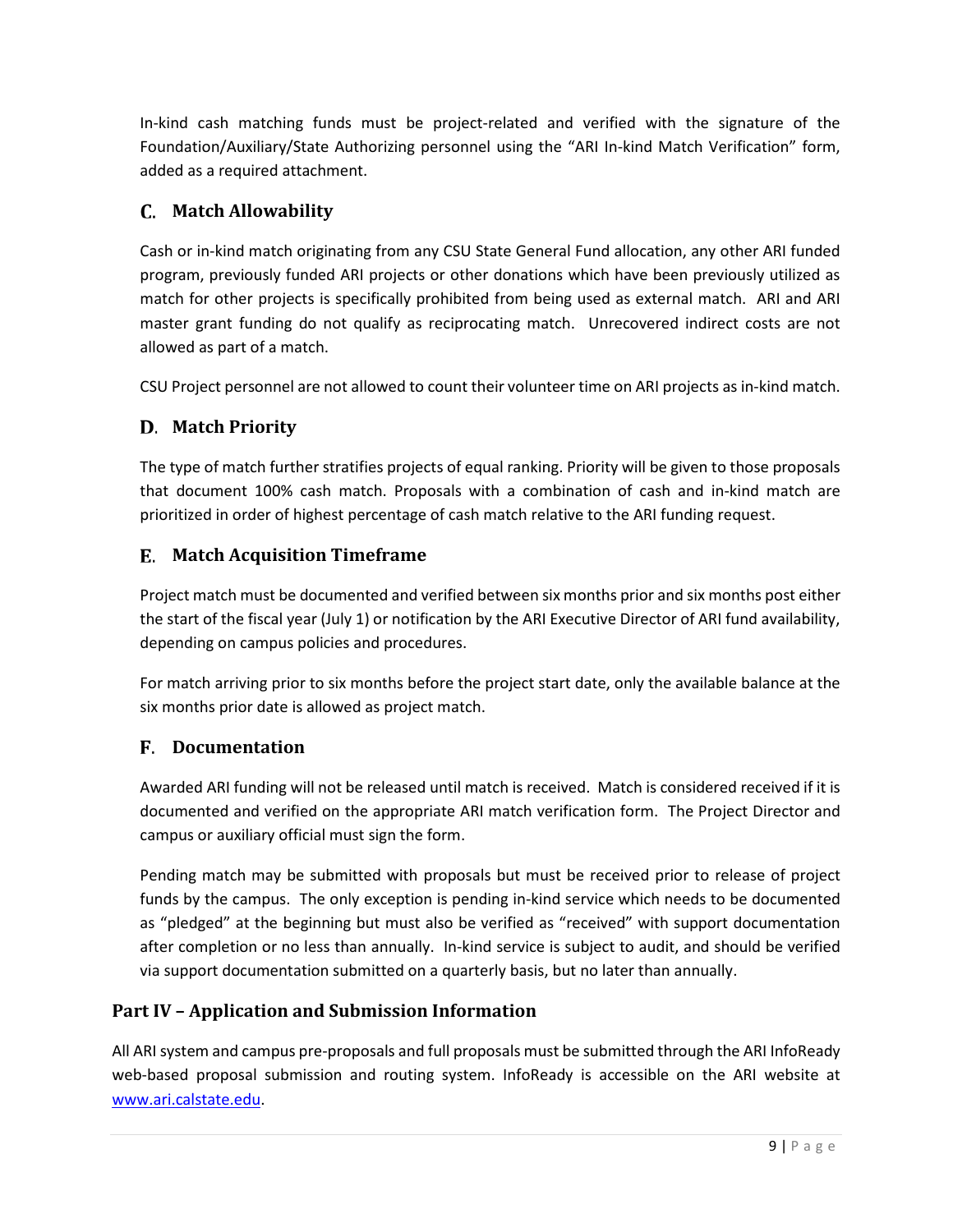In-kind cash matching funds must be project-related and verified with the signature of the Foundation/Auxiliary/State Authorizing personnel using the "ARI In-kind Match Verification" form, added as a required attachment.

## <span id="page-8-0"></span>**Match Allowability**

Cash or in-kind match originating from any CSU State General Fund allocation, any other ARI funded program, previously funded ARI projects or other donations which have been previously utilized as match for other projects is specifically prohibited from being used as external match. ARI and ARI master grant funding do not qualify as reciprocating match. Unrecovered indirect costs are not allowed as part of a match.

CSU Project personnel are not allowed to count their volunteer time on ARI projects as in-kind match.

## <span id="page-8-1"></span>**Match Priority**

The type of match further stratifies projects of equal ranking. Priority will be given to those proposals that document 100% cash match. Proposals with a combination of cash and in-kind match are prioritized in order of highest percentage of cash match relative to the ARI funding request.

## <span id="page-8-2"></span>**Match Acquisition Timeframe**

Project match must be documented and verified between six months prior and six months post either the start of the fiscal year (July 1) or notification by the ARI Executive Director of ARI fund availability, depending on campus policies and procedures.

For match arriving prior to six months before the project start date, only the available balance at the six months prior date is allowed as project match.

## <span id="page-8-3"></span>**Documentation**

Awarded ARI funding will not be released until match is received. Match is considered received if it is documented and verified on the appropriate ARI match verification form. The Project Director and campus or auxiliary official must sign the form.

Pending match may be submitted with proposals but must be received prior to release of project funds by the campus. The only exception is pending in-kind service which needs to be documented as "pledged" at the beginning but must also be verified as "received" with support documentation after completion or no less than annually. In-kind service is subject to audit, and should be verified via support documentation submitted on a quarterly basis, but no later than annually.

## <span id="page-8-4"></span>**Part IV – Application and Submission Information**

All ARI system and campus pre-proposals and full proposals must be submitted through the ARI InfoReady web-based proposal submission and routing system. InfoReady is accessible on the ARI website at [www.ari.calstate.edu.](http://ari.calstate.edu/)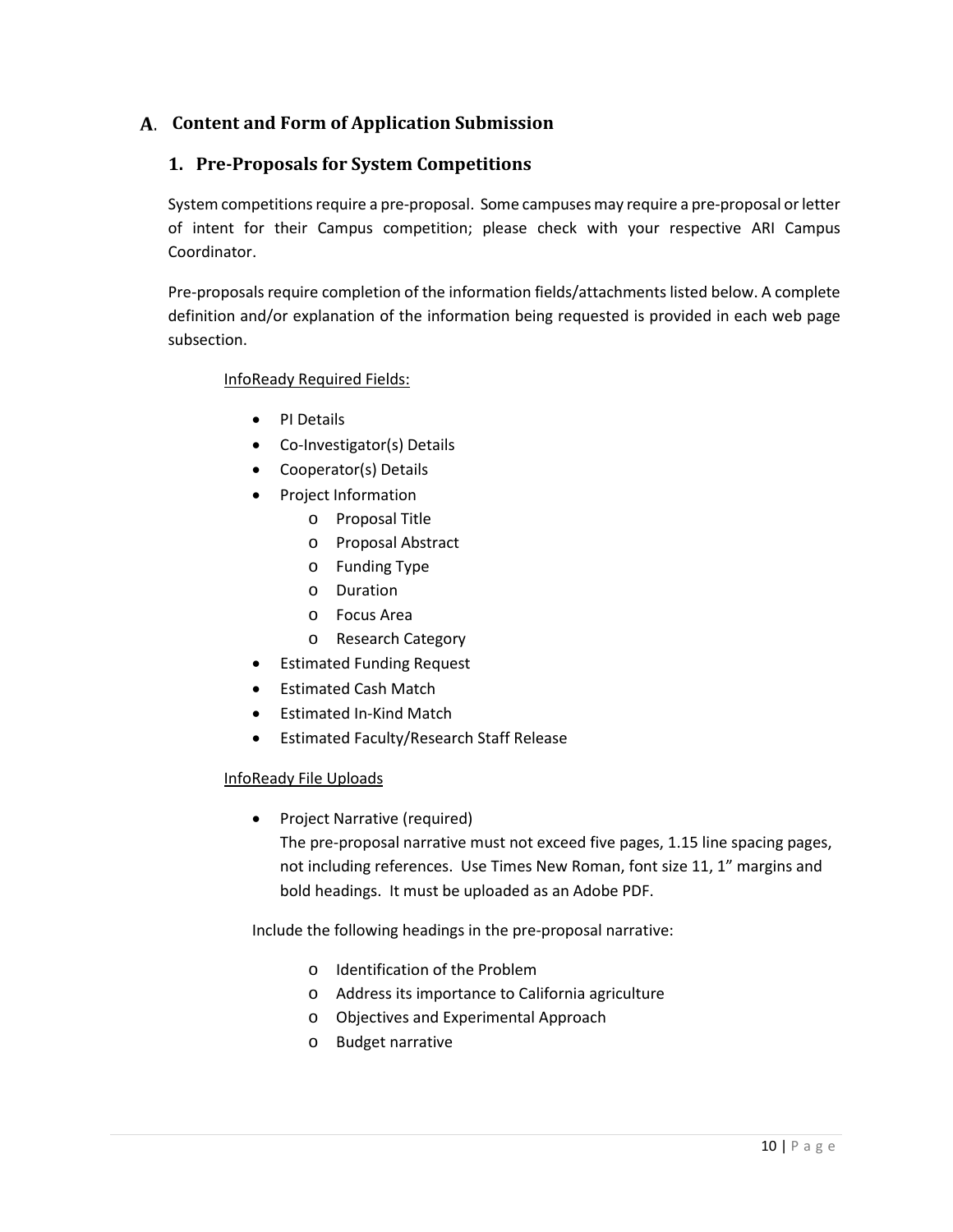## <span id="page-9-1"></span><span id="page-9-0"></span>**Content and Form of Application Submission**

## **1. Pre-Proposals for System Competitions**

System competitions require a pre-proposal. Some campuses may require a pre-proposal or letter of intent for their Campus competition; please check with your respective ARI Campus Coordinator.

Pre-proposals require completion of the information fields/attachments listed below. A complete definition and/or explanation of the information being requested is provided in each web page subsection.

#### InfoReady Required Fields:

- PI Details
- Co-Investigator(s) Details
- Cooperator(s) Details
- Project Information
	- o Proposal Title
	- o Proposal Abstract
	- o Funding Type
	- o Duration
	- o Focus Area
	- o Research Category
	- Estimated Funding Request
- Estimated Cash Match
- Estimated In-Kind Match
- Estimated Faculty/Research Staff Release

#### InfoReady File Uploads

• Project Narrative (required)

The pre-proposal narrative must not exceed five pages, 1.15 line spacing pages, not including references. Use Times New Roman, font size 11, 1" margins and bold headings. It must be uploaded as an Adobe PDF.

Include the following headings in the pre-proposal narrative:

- o Identification of the Problem
- o Address its importance to California agriculture
- o Objectives and Experimental Approach
- o Budget narrative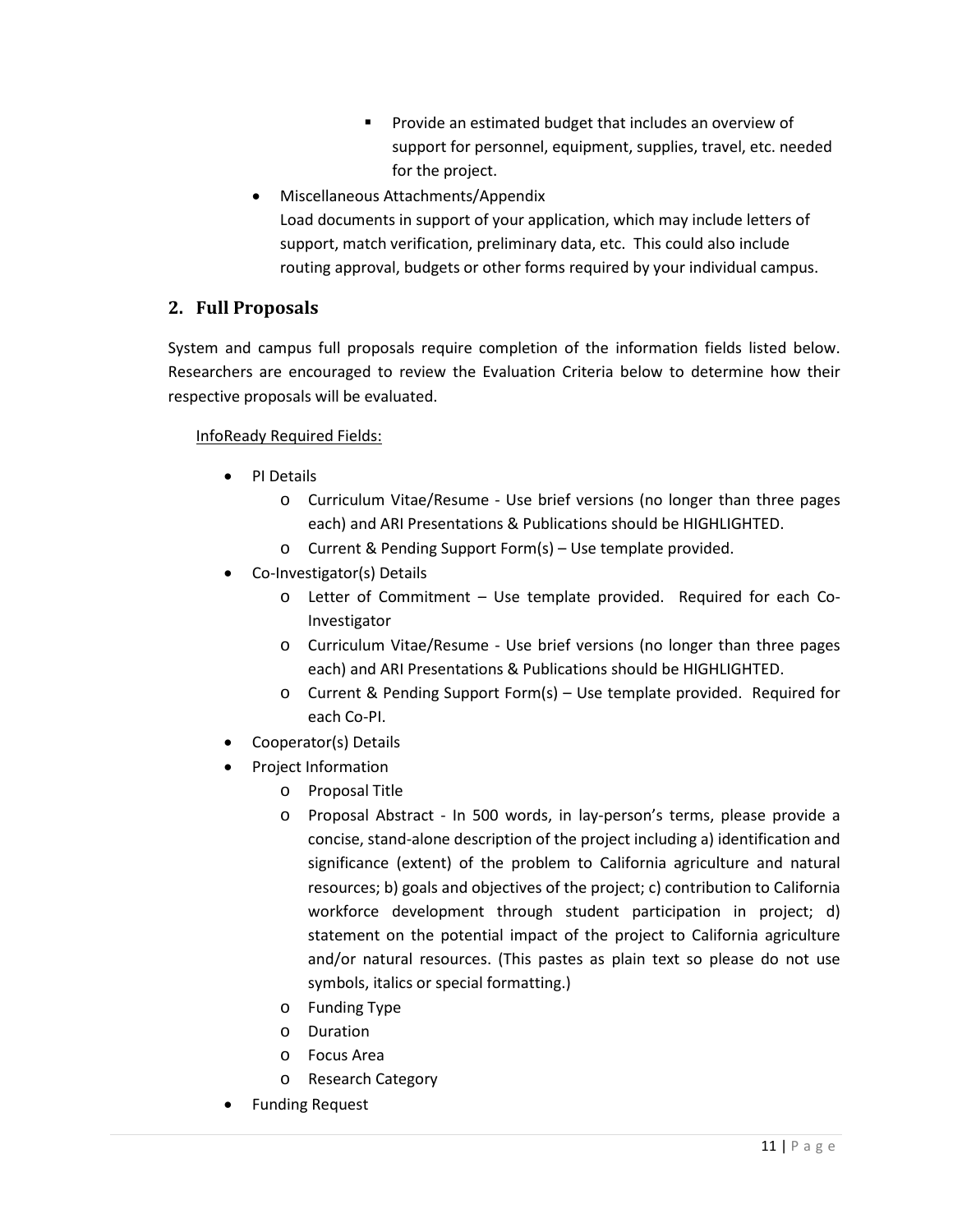- **Provide an estimated budget that includes an overview of** support for personnel, equipment, supplies, travel, etc. needed for the project.
- Miscellaneous Attachments/Appendix
	- Load documents in support of your application, which may include letters of support, match verification, preliminary data, etc. This could also include routing approval, budgets or other forms required by your individual campus.

## <span id="page-10-0"></span>**2. Full Proposals**

System and campus full proposals require completion of the information fields listed below. Researchers are encouraged to review the Evaluation Criteria below to determine how their respective proposals will be evaluated.

## InfoReady Required Fields:

- PI Details
	- o Curriculum Vitae/Resume Use brief versions (no longer than three pages each) and ARI Presentations & Publications should be HIGHLIGHTED.
	- o Current & Pending Support Form(s) Use template provided.
- Co-Investigator(s) Details
	- o Letter of Commitment Use template provided. Required for each Co-Investigator
	- o Curriculum Vitae/Resume Use brief versions (no longer than three pages each) and ARI Presentations & Publications should be HIGHLIGHTED.
	- o Current & Pending Support Form(s) Use template provided. Required for each Co-PI.
- Cooperator(s) Details
- Project Information
	- o Proposal Title
	- o Proposal Abstract In 500 words, in lay-person's terms, please provide a concise, stand-alone description of the project including a) identification and significance (extent) of the problem to California agriculture and natural resources; b) goals and objectives of the project; c) contribution to California workforce development through student participation in project; d) statement on the potential impact of the project to California agriculture and/or natural resources. (This pastes as plain text so please do not use symbols, italics or special formatting.)
	- o Funding Type
	- o Duration
	- o Focus Area
	- o Research Category
- Funding Request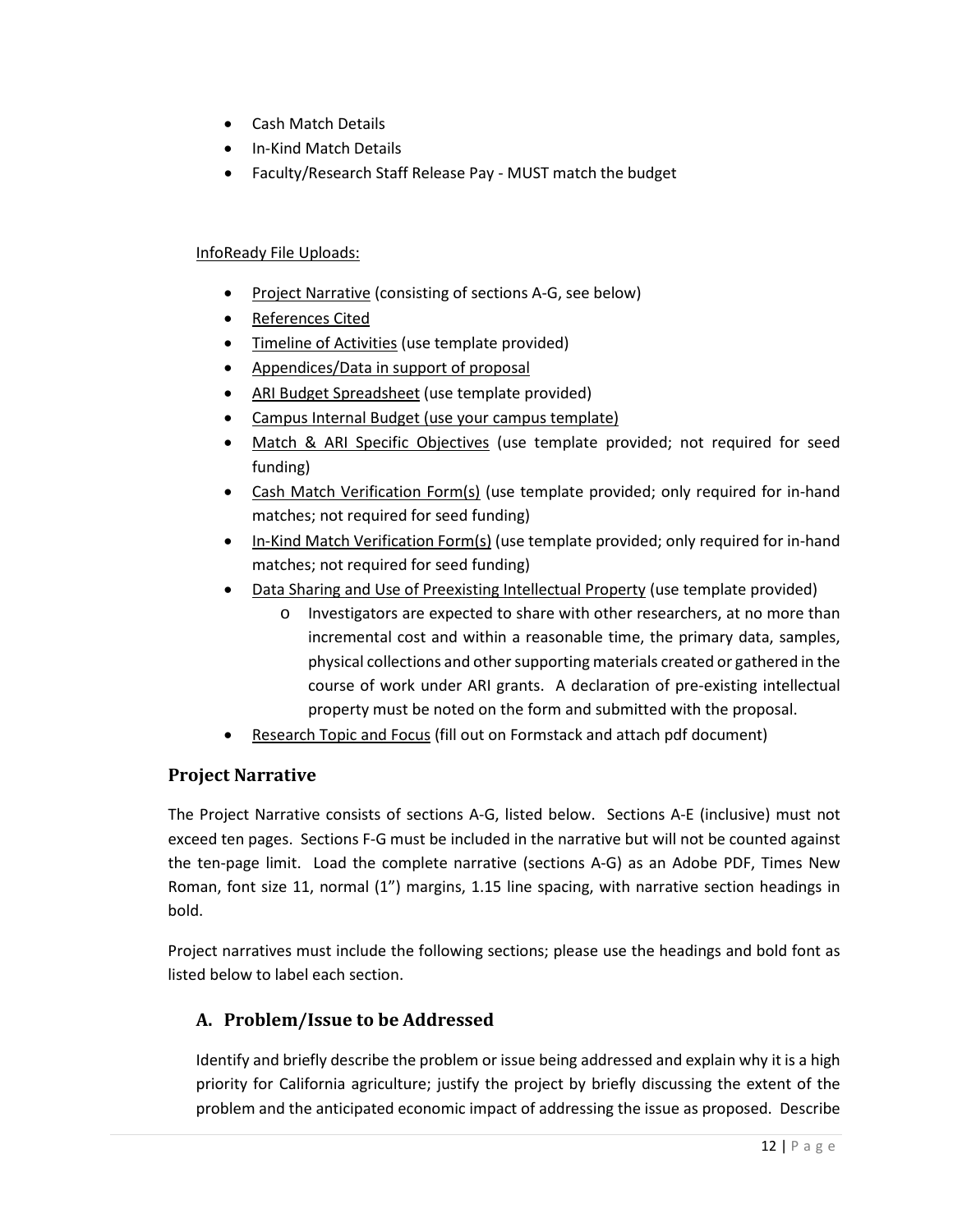- Cash Match Details
- In-Kind Match Details
- Faculty/Research Staff Release Pay MUST match the budget

#### InfoReady File Uploads:

- Project Narrative (consisting of sections A-G, see below)
- References Cited
- Timeline of Activities (use template provided)
- Appendices/Data in support of proposal
- ARI Budget Spreadsheet (use template provided)
- Campus Internal Budget (use your campus template)
- Match & ARI Specific Objectives (use template provided; not required for seed funding)
- Cash Match Verification Form(s) (use template provided; only required for in-hand matches; not required for seed funding)
- In-Kind Match Verification Form(s) (use template provided; only required for in-hand matches; not required for seed funding)
- Data Sharing and Use of Preexisting Intellectual Property (use template provided)
	- o Investigators are expected to share with other researchers, at no more than incremental cost and within a reasonable time, the primary data, samples, physical collections and other supporting materials created or gathered in the course of work under ARI grants. A declaration of pre-existing intellectual property must be noted on the form and submitted with the proposal.
- Research Topic and Focus (fill out on Formstack and attach pdf document)

## <span id="page-11-0"></span>**Project Narrative**

The Project Narrative consists of sections A-G, listed below. Sections A-E (inclusive) must not exceed ten pages. Sections F-G must be included in the narrative but will not be counted against the ten-page limit. Load the complete narrative (sections A-G) as an Adobe PDF, Times New Roman, font size 11, normal (1") margins, 1.15 line spacing, with narrative section headings in bold.

Project narratives must include the following sections; please use the headings and bold font as listed below to label each section.

## <span id="page-11-1"></span>**A. Problem/Issue to be Addressed**

Identify and briefly describe the problem or issue being addressed and explain why it is a high priority for California agriculture; justify the project by briefly discussing the extent of the problem and the anticipated economic impact of addressing the issue as proposed. Describe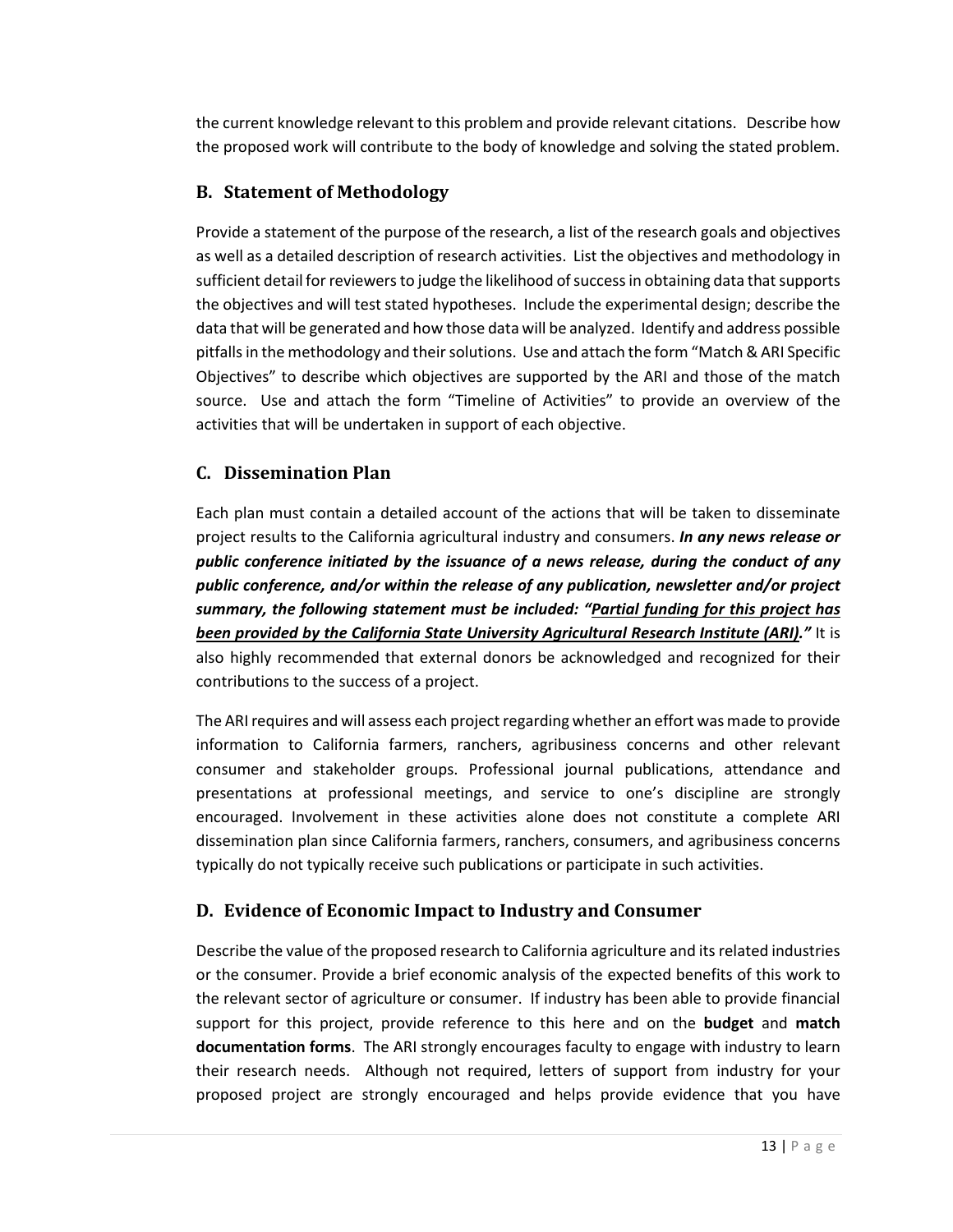the current knowledge relevant to this problem and provide relevant citations. Describe how the proposed work will contribute to the body of knowledge and solving the stated problem.

## <span id="page-12-0"></span>**B. Statement of Methodology**

Provide a statement of the purpose of the research, a list of the research goals and objectives as well as a detailed description of research activities. List the objectives and methodology in sufficient detail for reviewers to judge the likelihood of success in obtaining data that supports the objectives and will test stated hypotheses. Include the experimental design; describe the data that will be generated and how those data will be analyzed. Identify and address possible pitfalls in the methodology and their solutions. Use and attach the form "Match & ARI Specific Objectives" to describe which objectives are supported by the ARI and those of the match source. Use and attach the form "Timeline of Activities" to provide an overview of the activities that will be undertaken in support of each objective.

## <span id="page-12-1"></span>**C. Dissemination Plan**

Each plan must contain a detailed account of the actions that will be taken to disseminate project results to the California agricultural industry and consumers. *In any news release or public conference initiated by the issuance of a news release, during the conduct of any public conference, and/or within the release of any publication, newsletter and/or project summary, the following statement must be included: "Partial funding for this project has been provided by the California State University Agricultural Research Institute (ARI)."* It is also highly recommended that external donors be acknowledged and recognized for their contributions to the success of a project.

The ARI requires and will assess each project regarding whether an effort was made to provide information to California farmers, ranchers, agribusiness concerns and other relevant consumer and stakeholder groups. Professional journal publications, attendance and presentations at professional meetings, and service to one's discipline are strongly encouraged. Involvement in these activities alone does not constitute a complete ARI dissemination plan since California farmers, ranchers, consumers, and agribusiness concerns typically do not typically receive such publications or participate in such activities.

## <span id="page-12-2"></span>**D. Evidence of Economic Impact to Industry and Consumer**

Describe the value of the proposed research to California agriculture and its related industries or the consumer. Provide a brief economic analysis of the expected benefits of this work to the relevant sector of agriculture or consumer. If industry has been able to provide financial support for this project, provide reference to this here and on the **budget** and **match documentation forms**. The ARI strongly encourages faculty to engage with industry to learn their research needs. Although not required, letters of support from industry for your proposed project are strongly encouraged and helps provide evidence that you have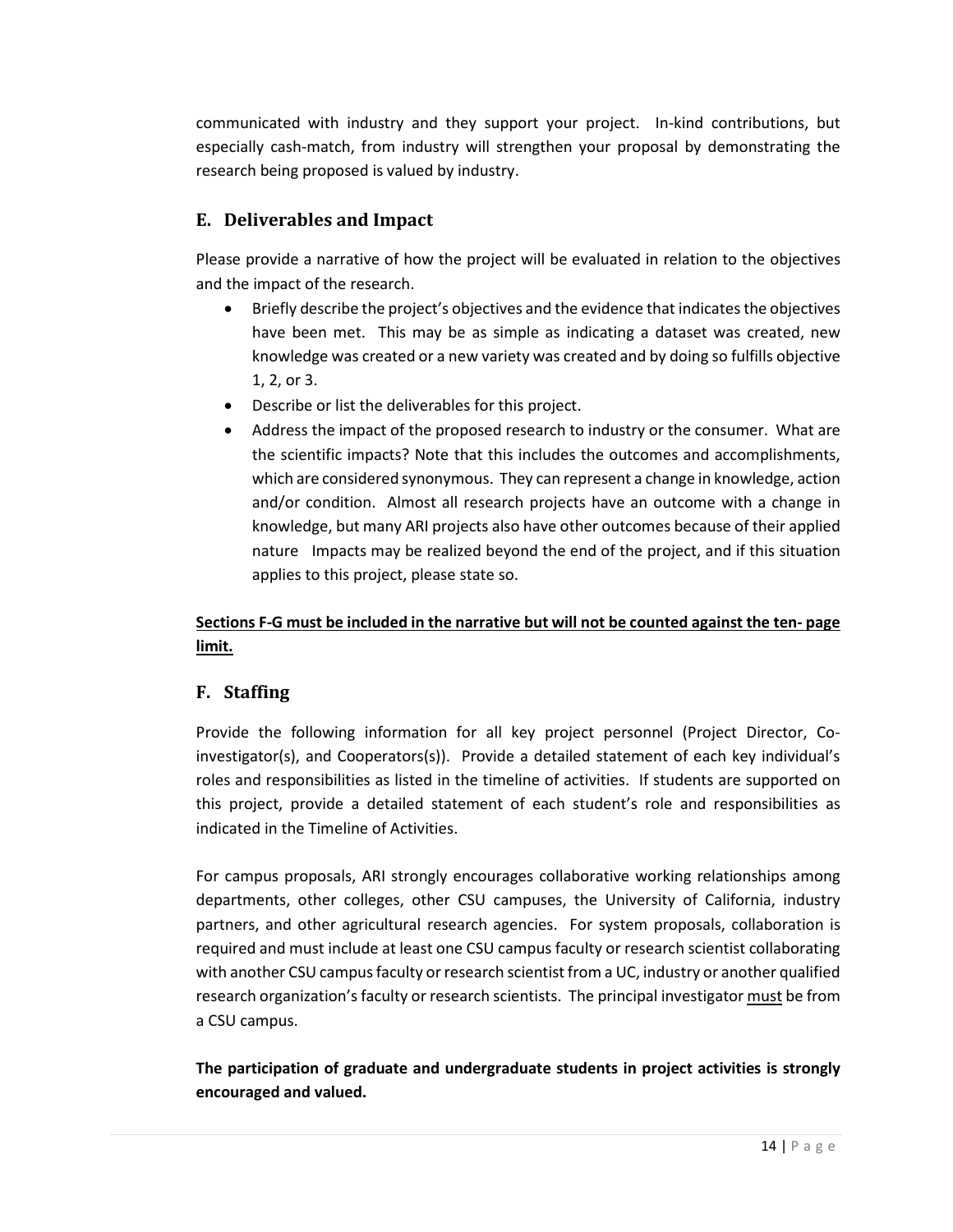communicated with industry and they support your project. In-kind contributions, but especially cash-match, from industry will strengthen your proposal by demonstrating the research being proposed is valued by industry.

## <span id="page-13-0"></span>**E. Deliverables and Impact**

Please provide a narrative of how the project will be evaluated in relation to the objectives and the impact of the research.

- Briefly describe the project's objectives and the evidence that indicates the objectives have been met. This may be as simple as indicating a dataset was created, new knowledge was created or a new variety was created and by doing so fulfills objective 1, 2, or 3.
- Describe or list the deliverables for this project.
- Address the impact of the proposed research to industry or the consumer. What are the scientific impacts? Note that this includes the outcomes and accomplishments, which are considered synonymous. They can represent a change in knowledge, action and/or condition. Almost all research projects have an outcome with a change in knowledge, but many ARI projects also have other outcomes because of their applied nature Impacts may be realized beyond the end of the project, and if this situation applies to this project, please state so.

## **Sections F-G must be included in the narrative but will not be counted against the ten- page limit.**

## <span id="page-13-1"></span>**F. Staffing**

Provide the following information for all key project personnel (Project Director, Coinvestigator(s), and Cooperators(s)). Provide a detailed statement of each key individual's roles and responsibilities as listed in the timeline of activities. If students are supported on this project, provide a detailed statement of each student's role and responsibilities as indicated in the Timeline of Activities.

For campus proposals, ARI strongly encourages collaborative working relationships among departments, other colleges, other CSU campuses, the University of California, industry partners, and other agricultural research agencies. For system proposals, collaboration is required and must include at least one CSU campus faculty or research scientist collaborating with another CSU campus faculty or research scientist from a UC, industry or another qualified research organization's faculty or research scientists. The principal investigator must be from a CSU campus.

**The participation of graduate and undergraduate students in project activities is strongly encouraged and valued.**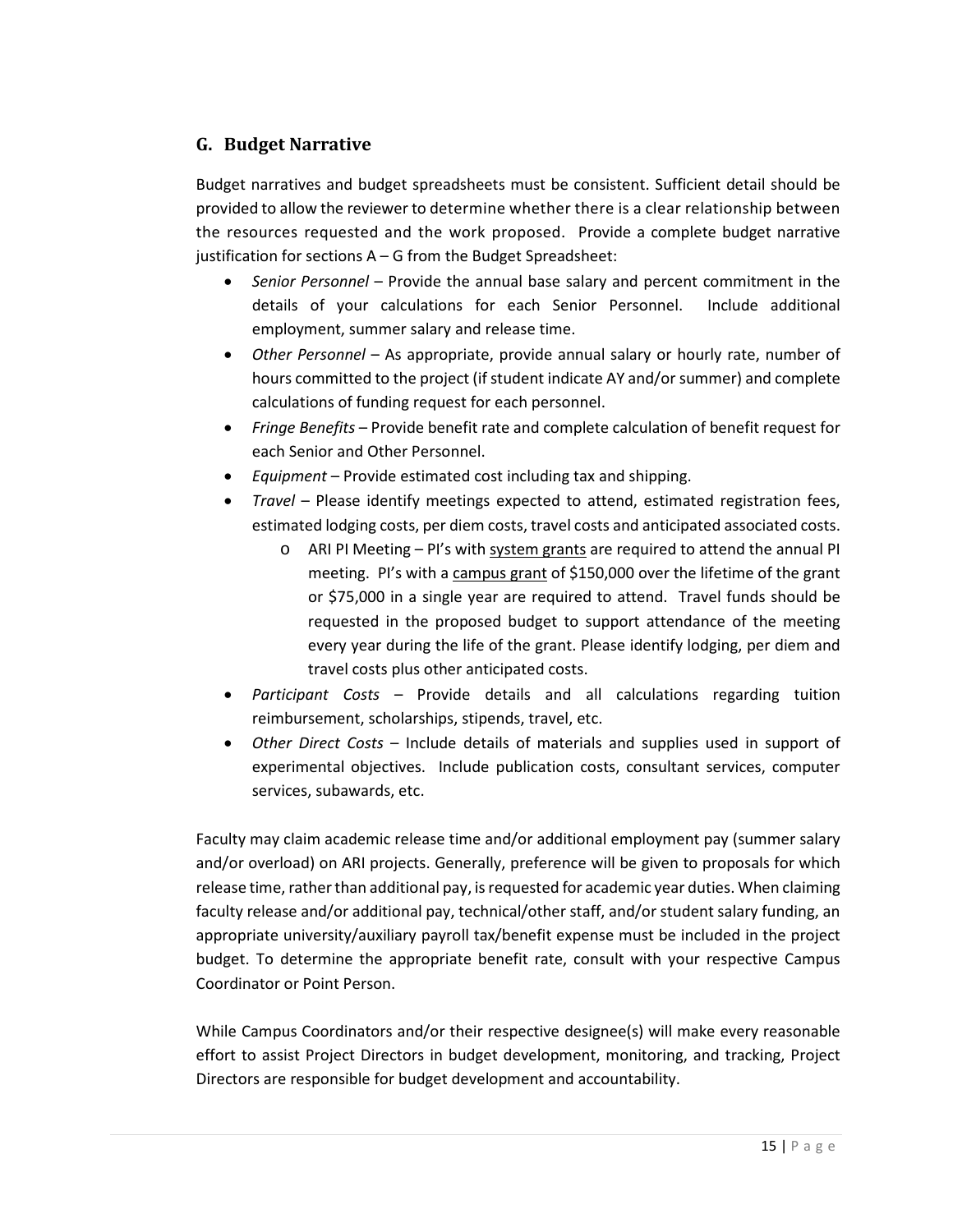## <span id="page-14-0"></span>**G. Budget Narrative**

Budget narratives and budget spreadsheets must be consistent. Sufficient detail should be provided to allow the reviewer to determine whether there is a clear relationship between the resources requested and the work proposed. Provide a complete budget narrative justification for sections A – G from the Budget Spreadsheet:

- *Senior Personnel* Provide the annual base salary and percent commitment in the details of your calculations for each Senior Personnel. Include additional employment, summer salary and release time.
- *Other Personnel* As appropriate, provide annual salary or hourly rate, number of hours committed to the project (if student indicate AY and/or summer) and complete calculations of funding request for each personnel.
- *Fringe Benefits* Provide benefit rate and complete calculation of benefit request for each Senior and Other Personnel.
- *Equipment* Provide estimated cost including tax and shipping.
- *Travel* Please identify meetings expected to attend, estimated registration fees, estimated lodging costs, per diem costs, travel costs and anticipated associated costs.
	- o ARI PI Meeting PI's with system grants are required to attend the annual PI meeting. PI's with a campus grant of \$150,000 over the lifetime of the grant or \$75,000 in a single year are required to attend. Travel funds should be requested in the proposed budget to support attendance of the meeting every year during the life of the grant. Please identify lodging, per diem and travel costs plus other anticipated costs.
- *Participant Costs* Provide details and all calculations regarding tuition reimbursement, scholarships, stipends, travel, etc.
- *Other Direct Costs* Include details of materials and supplies used in support of experimental objectives. Include publication costs, consultant services, computer services, subawards, etc.

Faculty may claim academic release time and/or additional employment pay (summer salary and/or overload) on ARI projects. Generally, preference will be given to proposals for which release time, rather than additional pay, is requested for academic year duties. When claiming faculty release and/or additional pay, technical/other staff, and/or student salary funding, an appropriate university/auxiliary payroll tax/benefit expense must be included in the project budget. To determine the appropriate benefit rate, consult with your respective Campus Coordinator or Point Person.

While Campus Coordinators and/or their respective designee(s) will make every reasonable effort to assist Project Directors in budget development, monitoring, and tracking, Project Directors are responsible for budget development and accountability.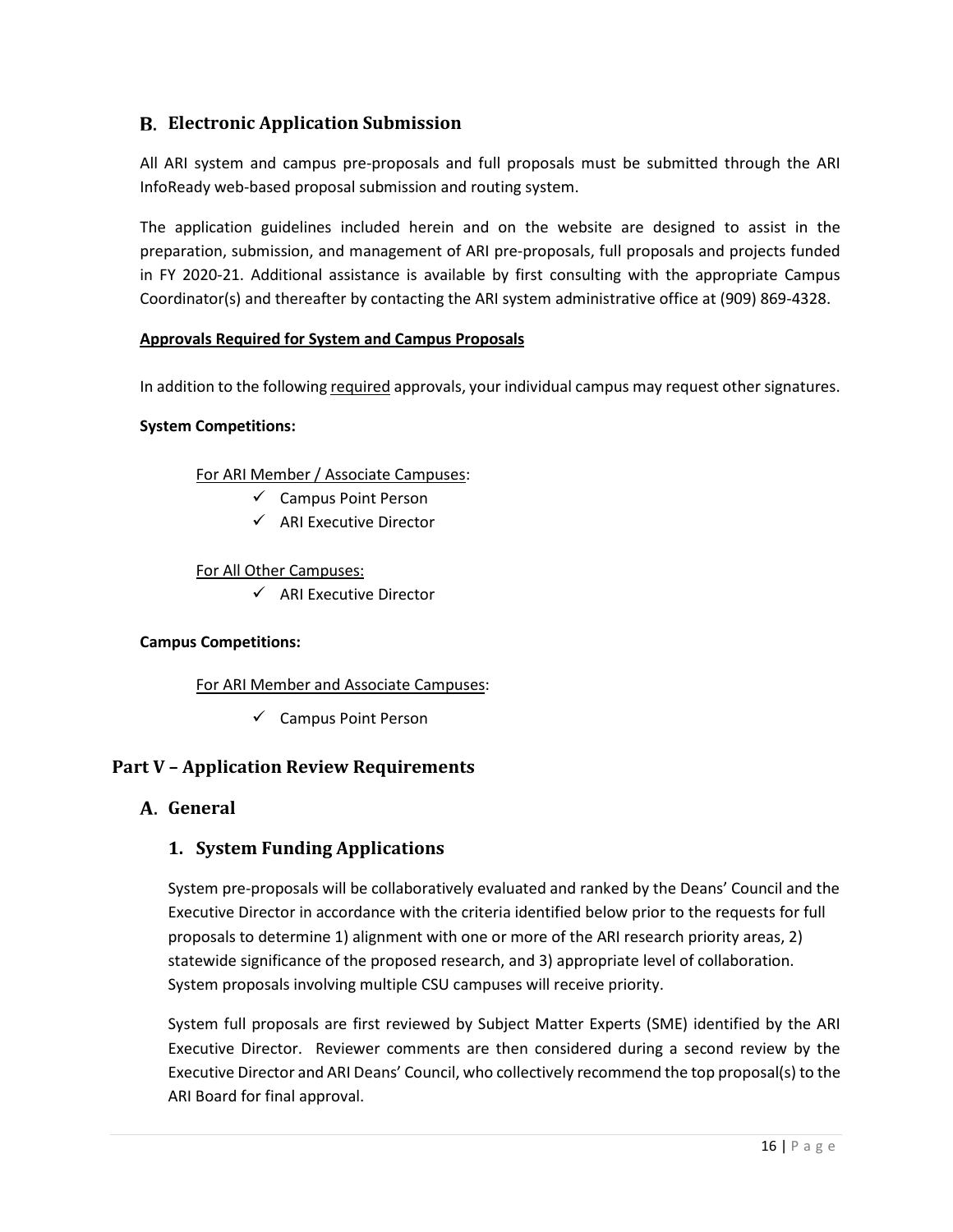## <span id="page-15-0"></span>**Electronic Application Submission**

All ARI system and campus pre-proposals and full proposals must be submitted through the ARI InfoReady web-based proposal submission and routing system.

The application guidelines included herein and on the website are designed to assist in the preparation, submission, and management of ARI pre-proposals, full proposals and projects funded in FY 2020-21. Additional assistance is available by first consulting with the appropriate Campus Coordinator(s) and thereafter by contacting the ARI system administrative office at (909) 869-4328.

#### **Approvals Required for System and Campus Proposals**

In addition to the following required approvals, your individual campus may request other signatures.

#### **System Competitions:**

For ARI Member / Associate Campuses:

- $\checkmark$  Campus Point Person
- $\checkmark$  ARI Executive Director

#### For All Other Campuses:

 $\checkmark$  ARI Executive Director

#### **Campus Competitions:**

For ARI Member and Associate Campuses:

 $\checkmark$  Campus Point Person

#### <span id="page-15-1"></span>**Part V – Application Review Requirements**

#### <span id="page-15-3"></span><span id="page-15-2"></span>**General**

#### **1. System Funding Applications**

System pre-proposals will be collaboratively evaluated and ranked by the Deans' Council and the Executive Director in accordance with the criteria identified below prior to the requests for full proposals to determine 1) alignment with one or more of the ARI research priority areas, 2) statewide significance of the proposed research, and 3) appropriate level of collaboration. System proposals involving multiple CSU campuses will receive priority.

System full proposals are first reviewed by Subject Matter Experts (SME) identified by the ARI Executive Director. Reviewer comments are then considered during a second review by the Executive Director and ARI Deans' Council, who collectively recommend the top proposal(s) to the ARI Board for final approval.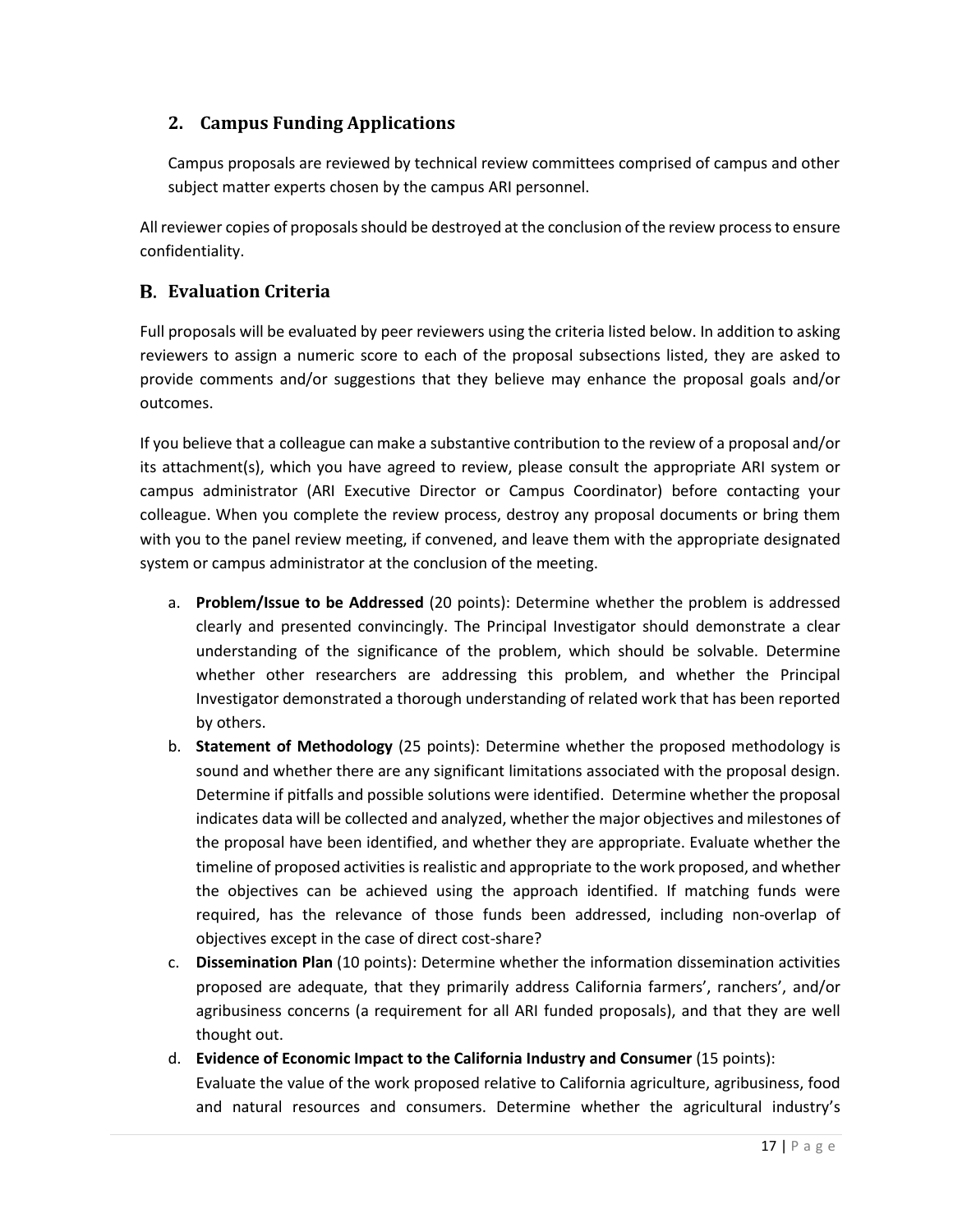## <span id="page-16-0"></span>**2. Campus Funding Applications**

Campus proposals are reviewed by technical review committees comprised of campus and other subject matter experts chosen by the campus ARI personnel.

All reviewer copies of proposals should be destroyed at the conclusion of the review process to ensure confidentiality.

## <span id="page-16-1"></span>**Evaluation Criteria**

Full proposals will be evaluated by peer reviewers using the criteria listed below. In addition to asking reviewers to assign a numeric score to each of the proposal subsections listed, they are asked to provide comments and/or suggestions that they believe may enhance the proposal goals and/or outcomes.

If you believe that a colleague can make a substantive contribution to the review of a proposal and/or its attachment(s), which you have agreed to review, please consult the appropriate ARI system or campus administrator (ARI Executive Director or Campus Coordinator) before contacting your colleague. When you complete the review process, destroy any proposal documents or bring them with you to the panel review meeting, if convened, and leave them with the appropriate designated system or campus administrator at the conclusion of the meeting.

- a. **Problem/Issue to be Addressed** (20 points): Determine whether the problem is addressed clearly and presented convincingly. The Principal Investigator should demonstrate a clear understanding of the significance of the problem, which should be solvable. Determine whether other researchers are addressing this problem, and whether the Principal Investigator demonstrated a thorough understanding of related work that has been reported by others.
- b. **Statement of Methodology** (25 points): Determine whether the proposed methodology is sound and whether there are any significant limitations associated with the proposal design. Determine if pitfalls and possible solutions were identified. Determine whether the proposal indicates data will be collected and analyzed, whether the major objectives and milestones of the proposal have been identified, and whether they are appropriate. Evaluate whether the timeline of proposed activities is realistic and appropriate to the work proposed, and whether the objectives can be achieved using the approach identified. If matching funds were required, has the relevance of those funds been addressed, including non-overlap of objectives except in the case of direct cost-share?
- c. **Dissemination Plan** (10 points): Determine whether the information dissemination activities proposed are adequate, that they primarily address California farmers', ranchers', and/or agribusiness concerns (a requirement for all ARI funded proposals), and that they are well thought out.
- d. **Evidence of Economic Impact to the California Industry and Consumer** (15 points): Evaluate the value of the work proposed relative to California agriculture, agribusiness, food and natural resources and consumers. Determine whether the agricultural industry's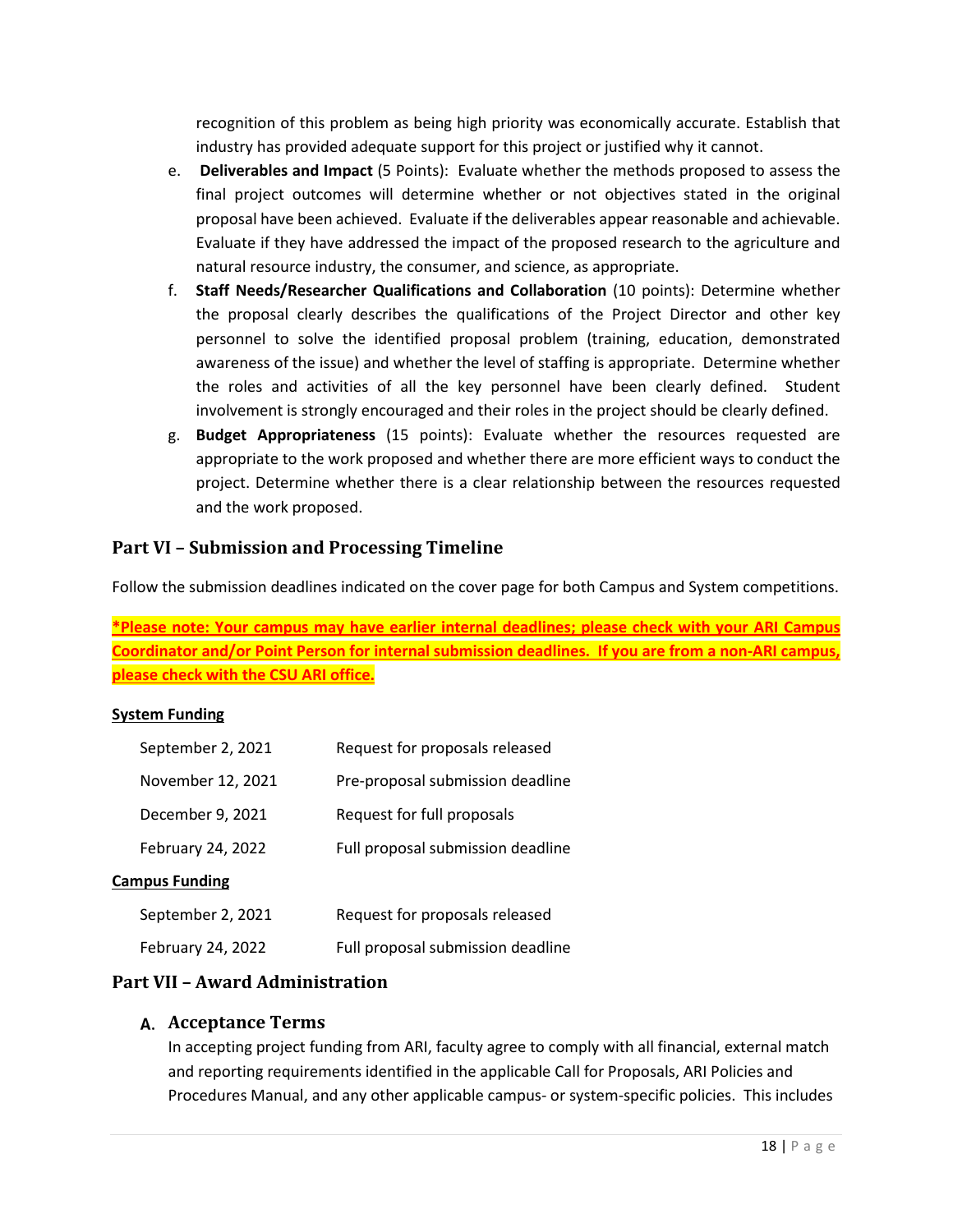recognition of this problem as being high priority was economically accurate. Establish that industry has provided adequate support for this project or justified why it cannot.

- e. **Deliverables and Impact** (5 Points): Evaluate whether the methods proposed to assess the final project outcomes will determine whether or not objectives stated in the original proposal have been achieved. Evaluate if the deliverables appear reasonable and achievable. Evaluate if they have addressed the impact of the proposed research to the agriculture and natural resource industry, the consumer, and science, as appropriate.
- f. **Staff Needs/Researcher Qualifications and Collaboration** (10 points): Determine whether the proposal clearly describes the qualifications of the Project Director and other key personnel to solve the identified proposal problem (training, education, demonstrated awareness of the issue) and whether the level of staffing is appropriate. Determine whether the roles and activities of all the key personnel have been clearly defined. Student involvement is strongly encouraged and their roles in the project should be clearly defined.
- g. **Budget Appropriateness** (15 points): Evaluate whether the resources requested are appropriate to the work proposed and whether there are more efficient ways to conduct the project. Determine whether there is a clear relationship between the resources requested and the work proposed.

## <span id="page-17-0"></span>**Part VI – Submission and Processing Timeline**

Follow the submission deadlines indicated on the cover page for both Campus and System competitions.

**\*Please note: Your campus may have earlier internal deadlines; please check with your ARI Campus Coordinator and/or Point Person for internal submission deadlines. If you are from a non-ARI campus, please check with the CSU ARI office.**

#### **System Funding**

| September 2, 2021     | Request for proposals released    |
|-----------------------|-----------------------------------|
| November 12, 2021     | Pre-proposal submission deadline  |
| December 9, 2021      | Request for full proposals        |
| February 24, 2022     | Full proposal submission deadline |
| <b>Campus Funding</b> |                                   |
| September 2, 2021     | Request for proposals released    |
| February 24, 2022     | Full proposal submission deadline |

## <span id="page-17-1"></span>**Part VII – Award Administration**

#### <span id="page-17-2"></span>**Acceptance Terms**

In accepting project funding from ARI, faculty agree to comply with all financial, external match and reporting requirements identified in the applicable Call for Proposals, ARI Policies and Procedures Manual, and any other applicable campus- or system-specific policies. This includes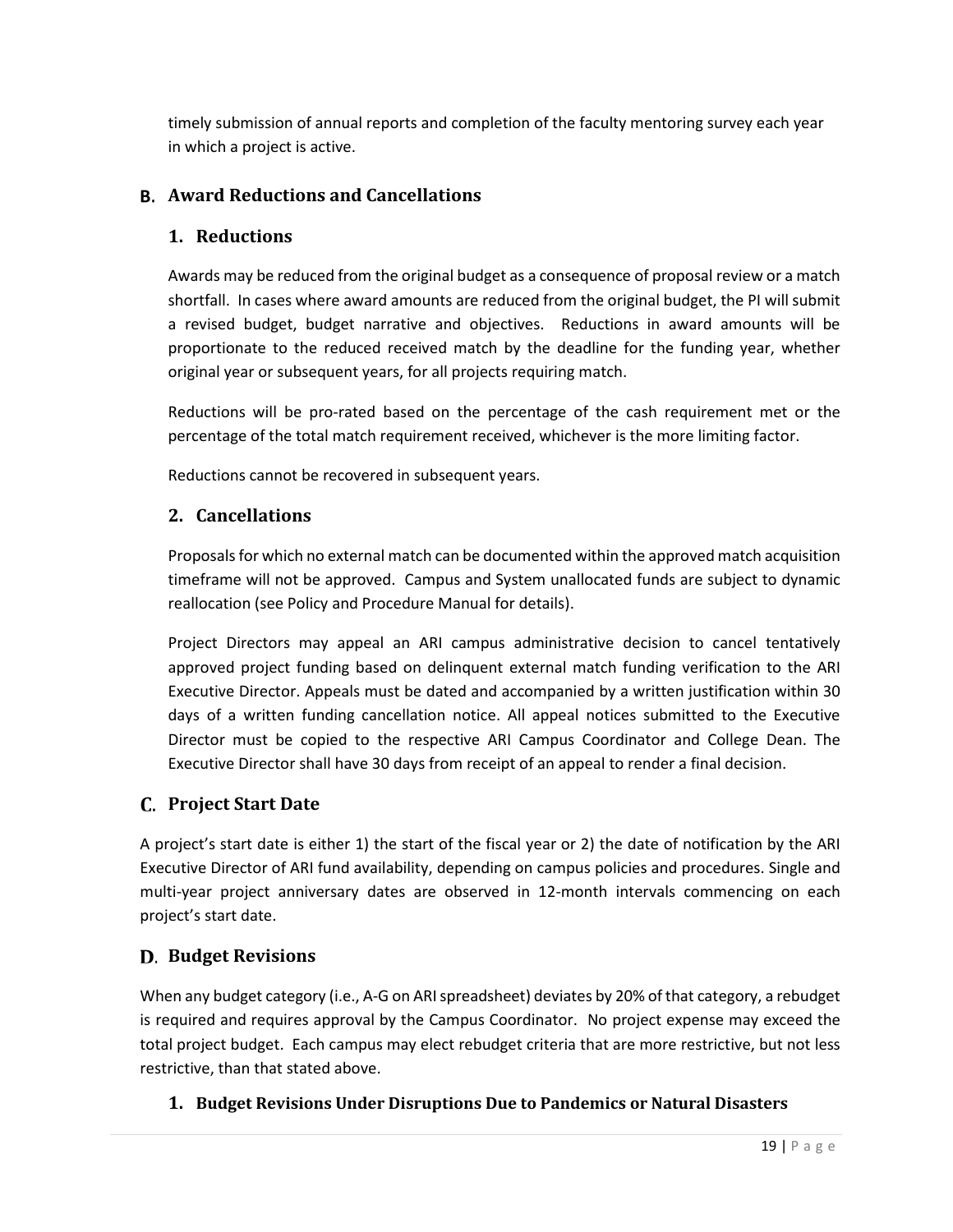timely submission of annual reports and completion of the faculty mentoring survey each year in which a project is active.

## <span id="page-18-1"></span><span id="page-18-0"></span>**Award Reductions and Cancellations**

## **1. Reductions**

Awards may be reduced from the original budget as a consequence of proposal review or a match shortfall. In cases where award amounts are reduced from the original budget, the PI will submit a revised budget, budget narrative and objectives. Reductions in award amounts will be proportionate to the reduced received match by the deadline for the funding year, whether original year or subsequent years, for all projects requiring match.

Reductions will be pro-rated based on the percentage of the cash requirement met or the percentage of the total match requirement received, whichever is the more limiting factor.

Reductions cannot be recovered in subsequent years.

## <span id="page-18-2"></span>**2. Cancellations**

Proposals for which no external match can be documented within the approved match acquisition timeframe will not be approved. Campus and System unallocated funds are subject to dynamic reallocation (see Policy and Procedure Manual for details).

Project Directors may appeal an ARI campus administrative decision to cancel tentatively approved project funding based on delinquent external match funding verification to the ARI Executive Director. Appeals must be dated and accompanied by a written justification within 30 days of a written funding cancellation notice. All appeal notices submitted to the Executive Director must be copied to the respective ARI Campus Coordinator and College Dean. The Executive Director shall have 30 days from receipt of an appeal to render a final decision.

## <span id="page-18-3"></span>**Project Start Date**

A project's start date is either 1) the start of the fiscal year or 2) the date of notification by the ARI Executive Director of ARI fund availability, depending on campus policies and procedures. Single and multi-year project anniversary dates are observed in 12-month intervals commencing on each project's start date.

## <span id="page-18-4"></span>**Budget Revisions**

When any budget category (i.e., A-G on ARI spreadsheet) deviates by 20% of that category, a rebudget is required and requires approval by the Campus Coordinator. No project expense may exceed the total project budget. Each campus may elect rebudget criteria that are more restrictive, but not less restrictive, than that stated above.

## <span id="page-18-5"></span>**1. Budget Revisions Under Disruptions Due to Pandemics or Natural Disasters**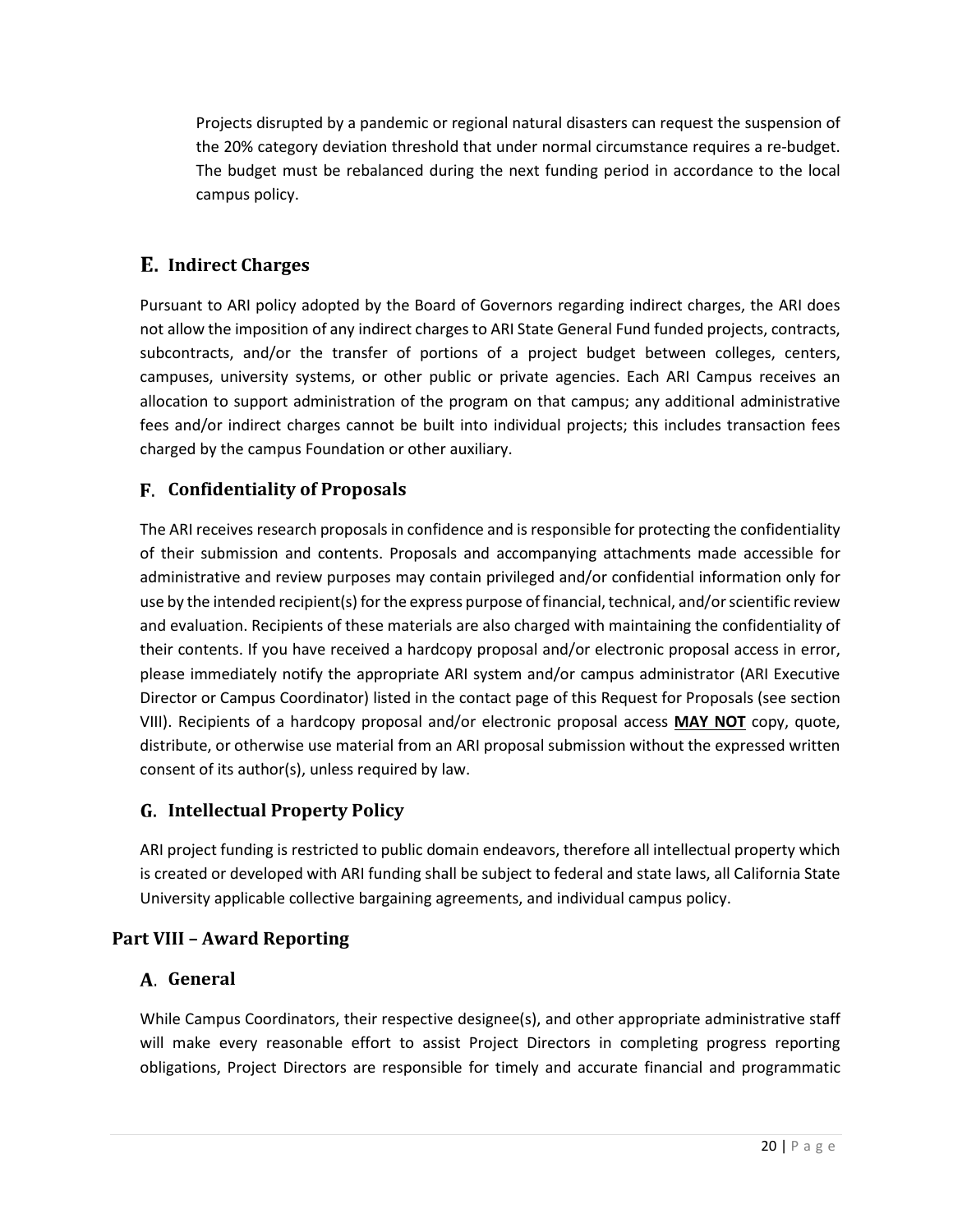Projects disrupted by a pandemic or regional natural disasters can request the suspension of the 20% category deviation threshold that under normal circumstance requires a re-budget. The budget must be rebalanced during the next funding period in accordance to the local campus policy.

## <span id="page-19-0"></span>**Indirect Charges**

Pursuant to ARI policy adopted by the Board of Governors regarding indirect charges, the ARI does not allow the imposition of any indirect charges to ARI State General Fund funded projects, contracts, subcontracts, and/or the transfer of portions of a project budget between colleges, centers, campuses, university systems, or other public or private agencies. Each ARI Campus receives an allocation to support administration of the program on that campus; any additional administrative fees and/or indirect charges cannot be built into individual projects; this includes transaction fees charged by the campus Foundation or other auxiliary.

## <span id="page-19-1"></span>**Confidentiality of Proposals**

The ARI receives research proposals in confidence and is responsible for protecting the confidentiality of their submission and contents. Proposals and accompanying attachments made accessible for administrative and review purposes may contain privileged and/or confidential information only for use by the intended recipient(s) for the express purpose of financial, technical, and/or scientific review and evaluation. Recipients of these materials are also charged with maintaining the confidentiality of their contents. If you have received a hardcopy proposal and/or electronic proposal access in error, please immediately notify the appropriate ARI system and/or campus administrator (ARI Executive Director or Campus Coordinator) listed in the contact page of this Request for Proposals (see section VIII). Recipients of a hardcopy proposal and/or electronic proposal access **MAY NOT** copy, quote, distribute, or otherwise use material from an ARI proposal submission without the expressed written consent of its author(s), unless required by law.

## <span id="page-19-2"></span>**Intellectual Property Policy**

ARI project funding is restricted to public domain endeavors, therefore all intellectual property which is created or developed with ARI funding shall be subject to federal and state laws, all California State University applicable collective bargaining agreements, and individual campus policy.

## <span id="page-19-3"></span>**Part VIII – Award Reporting**

## <span id="page-19-4"></span>**General**

While Campus Coordinators, their respective designee(s), and other appropriate administrative staff will make every reasonable effort to assist Project Directors in completing progress reporting obligations, Project Directors are responsible for timely and accurate financial and programmatic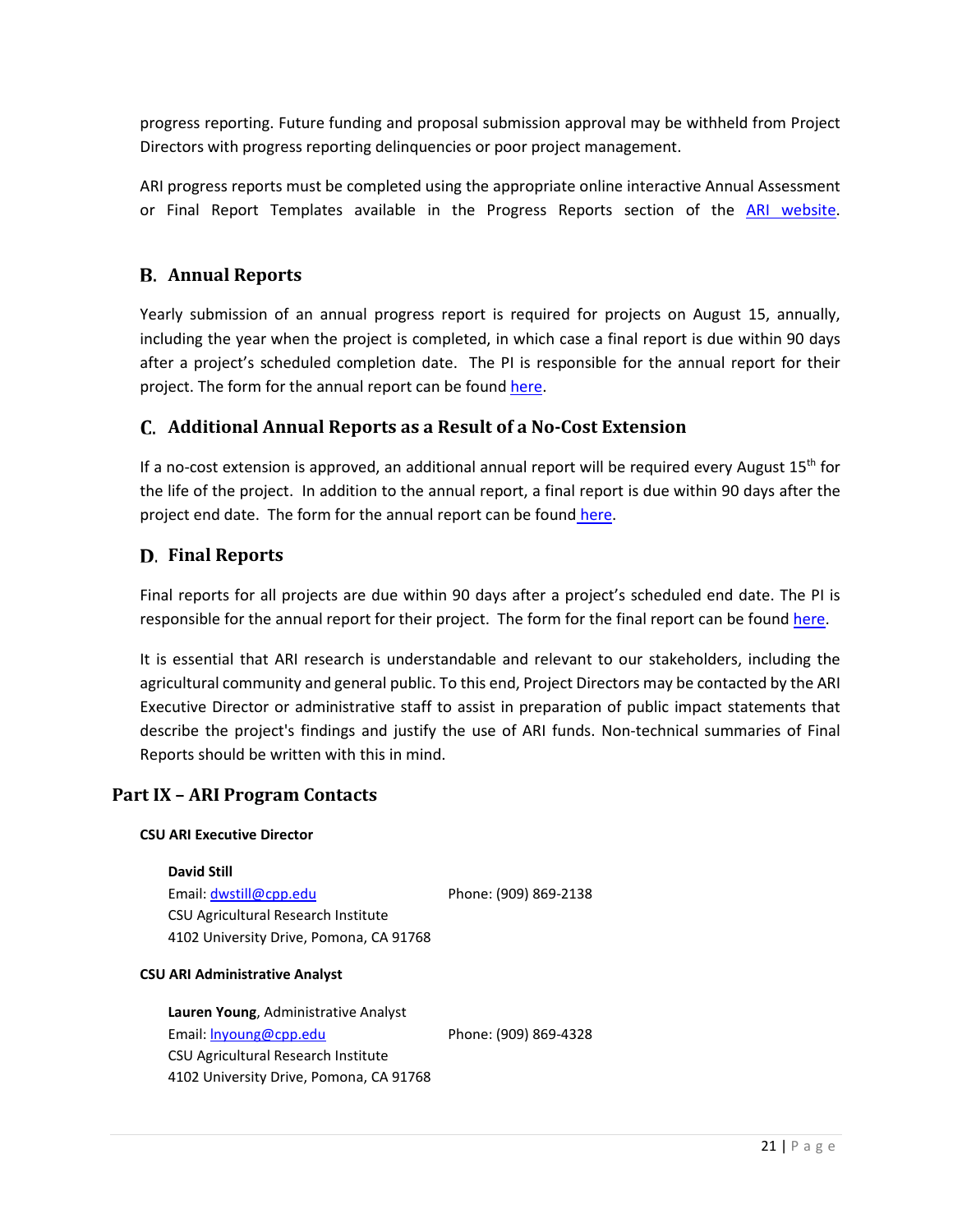progress reporting. Future funding and proposal submission approval may be withheld from Project Directors with progress reporting delinquencies or poor project management.

ARI progress reports must be completed using the appropriate online interactive Annual Assessment or Final Report Templates available in the Progress Reports section of the [ARI website.](https://www2.calstate.edu/impact-of-the-csu/research/ari/Pages/proposal-center.aspx)

## <span id="page-20-0"></span>**Annual Reports**

Yearly submission of an annual progress report is required for projects on August 15, annually, including the year when the project is completed, in which case a final report is due within 90 days after a project's scheduled completion date. The PI is responsible for the annual report for their project. The form for the annual report can be found [here.](https://californiastateuniversityari.formstack.com/forms/ari_annual_assessment_fy2020_21)

## <span id="page-20-1"></span>**Additional Annual Reports as a Result of a No-Cost Extension**

If a no-cost extension is approved, an additional annual report will be required every August 15<sup>th</sup> for the life of the project. In addition to the annual report, a final report is due within 90 days after the project end date. The form for the annual report can be found [here.](https://californiastateuniversityari.formstack.com/forms/ari_annual_assessment_fy2020_21)

## <span id="page-20-2"></span>**Final Reports**

Final reports for all projects are due within 90 days after a project's scheduled end date. The PI is responsible for the annual report for their project. The form for the final report can be foun[d here.](https://californiastateuniversityari.formstack.com/forms/ari_finalreport)

It is essential that ARI research is understandable and relevant to our stakeholders, including the agricultural community and general public. To this end, Project Directors may be contacted by the ARI Executive Director or administrative staff to assist in preparation of public impact statements that describe the project's findings and justify the use of ARI funds. Non-technical summaries of Final Reports should be written with this in mind.

## <span id="page-20-3"></span>**Part IX – ARI Program Contacts**

#### **CSU ARI Executive Director**

**David Still** Email: [dwstill@cpp.edu](mailto:dwstill@cpp.edu) Phone: (909) 869-2138 CSU Agricultural Research Institute 4102 University Drive, Pomona, CA 91768

#### **CSU ARI Administrative Analyst**

**Lauren Young**, Administrative Analyst Email: Inyoung@cpp.edu Phone: (909) 869-4328 CSU Agricultural Research Institute 4102 University Drive, Pomona, CA 91768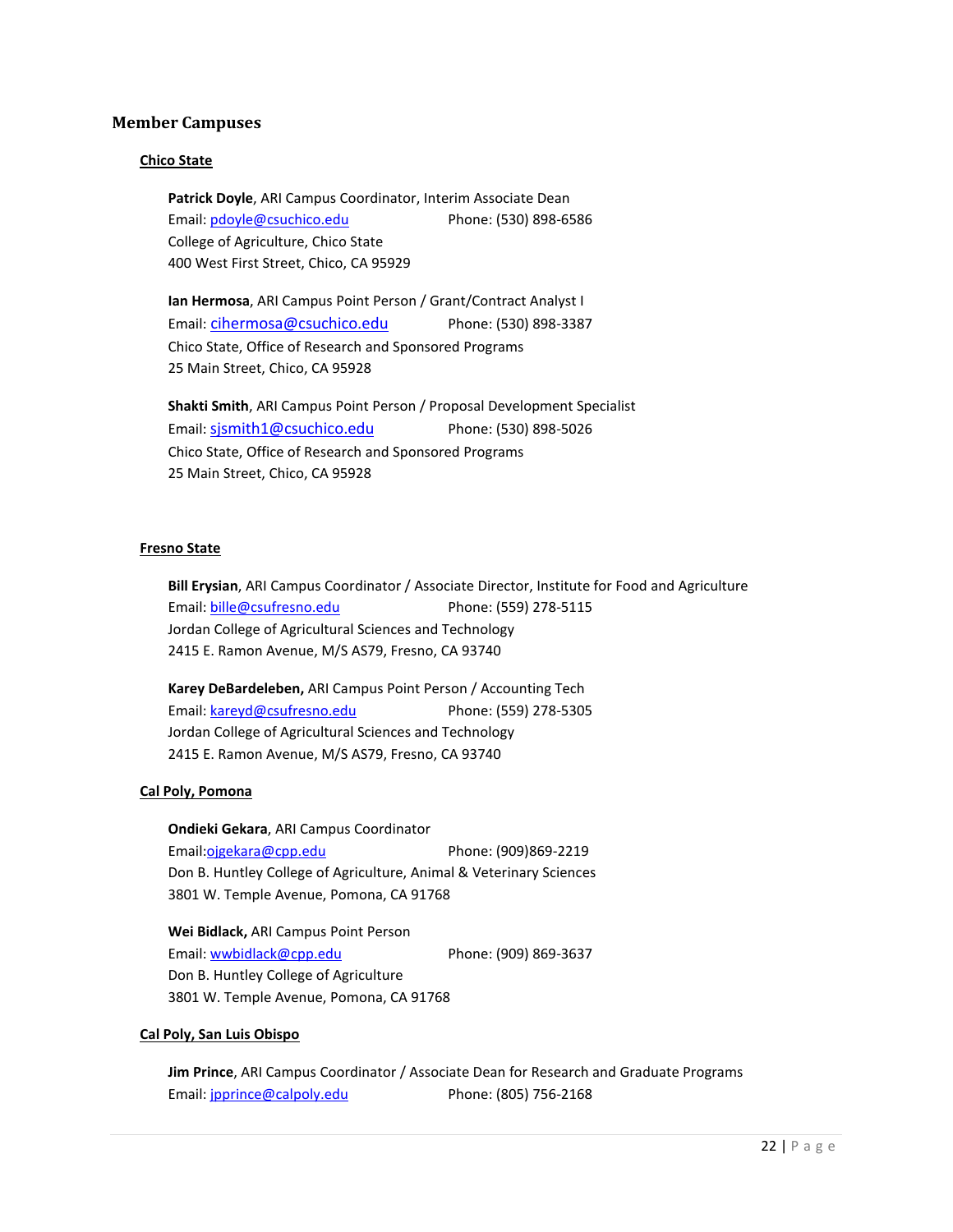#### **Member Campuses**

#### **Chico State**

**Patrick Doyle**, ARI Campus Coordinator, Interim Associate Dean Email: [pdoyle@csuchico.edu](mailto:pdoyle@csuchico.edu) Phone: (530) 898-6586 College of Agriculture, Chico State 400 West First Street, Chico, CA 95929

**Ian Hermosa**, ARI Campus Point Person / Grant/Contract Analyst I Email: [cihermosa@csuchico.edu](mailto:cihermosa@csuchico.edu) Phone: (530) 898-3387 Chico State, Office of Research and Sponsored Programs 25 Main Street, Chico, CA 95928

**Shakti Smith**, ARI Campus Point Person / Proposal Development Specialist Email: sismith1@csuchico.edu Phone: (530) 898-5026 Chico State, Office of Research and Sponsored Programs 25 Main Street, Chico, CA 95928

#### **Fresno State**

**Bill Erysian**, ARI Campus Coordinator / Associate Director, Institute for Food and Agriculture Email: [bille@csufresno.edu](mailto:bille@csufresno.edu) Phone: (559) 278-5115 Jordan College of Agricultural Sciences and Technology 2415 E. Ramon Avenue, M/S AS79, Fresno, CA 93740

**Karey DeBardeleben,** ARI Campus Point Person / Accounting Tech Email: [kareyd@csufresno.edu](mailto:kareyd@csufresno.edu) Phone: (559) 278-5305 Jordan College of Agricultural Sciences and Technology 2415 E. Ramon Avenue, M/S AS79, Fresno, CA 93740

#### **Cal Poly, Pomona**

**Ondieki Gekara**, ARI Campus Coordinator Email:ojgekara@cpp.edu Phone: (909)869-2219 Don B. Huntley College of Agriculture, Animal & Veterinary Sciences 3801 W. Temple Avenue, Pomona, CA 91768

**Wei Bidlack,** ARI Campus Point Person Email: [wwbidlack@cpp.edu](mailto:wwbidlack@cpp.edu) Phone: (909) 869-3637 Don B. Huntley College of Agriculture 3801 W. Temple Avenue, Pomona, CA 91768

#### **Cal Poly, San Luis Obispo**

**Jim Prince**, ARI Campus Coordinator / Associate Dean for Research and Graduate Programs Email: [jpprince@calpoly.edu](mailto:jpprince@calpoly.edu) Phone: (805) 756-2168